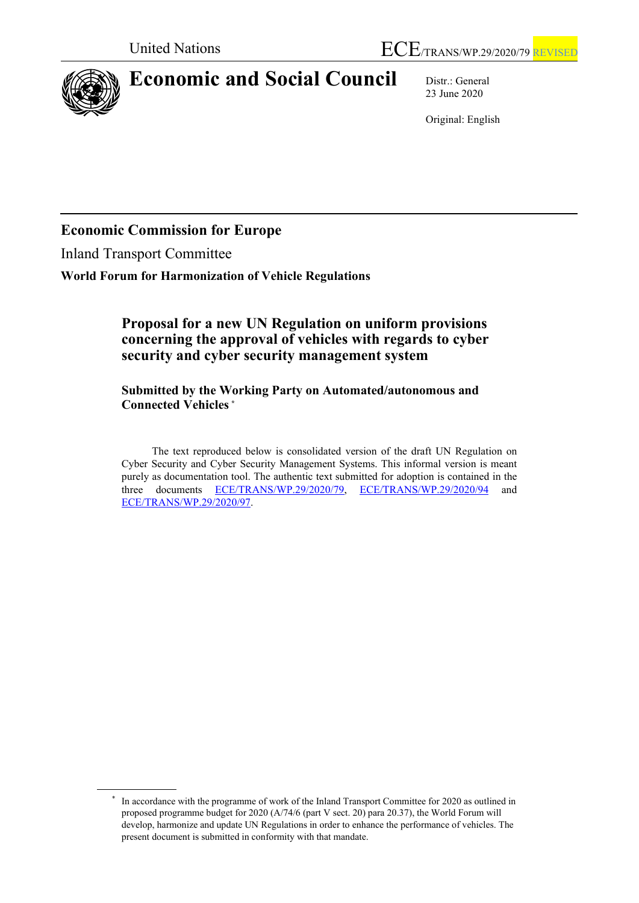

# **Economic and Social Council** Distr.: General

23 June 2020

Original: English

# **Economic Commission for Europe**

Inland Transport Committee

**World Forum for Harmonization of Vehicle Regulations**

## **Proposal for a new UN Regulation on uniform provisions concerning the approval of vehicles with regards to cyber security and cyber security management system**

**Submitted by the Working Party on Automated/autonomous and Connected Vehicles [\\*](#page-0-0)**

The text reproduced below is consolidated version of the draft UN Regulation on Cyber Security and Cyber Security Management Systems. This informal version is meant purely as documentation tool. The authentic text submitted for adoption is contained in the three documents ECE/TRANS/WP.29/2020/79, ECE/TRANS/WP.29/2020/94 and three documents [ECE/TRANS/WP.29/2020/79,](https://undocs.org/ECE/TRANS/WP.29/2020/79) [ECE/TRANS/WP.29/2020/94](https://undocs.org/ECE/TRANS/WP.29/2020/94) and [ECE/TRANS/WP.29/2020/97.](https://undocs.org/ECE/TRANS/WP.29/2020/97)

<span id="page-0-0"></span>In accordance with the programme of work of the Inland Transport Committee for 2020 as outlined in proposed programme budget for 2020 (A/74/6 (part V sect. 20) para 20.37), the World Forum will develop, harmonize and update UN Regulations in order to enhance the performance of vehicles. The present document is submitted in conformity with that mandate.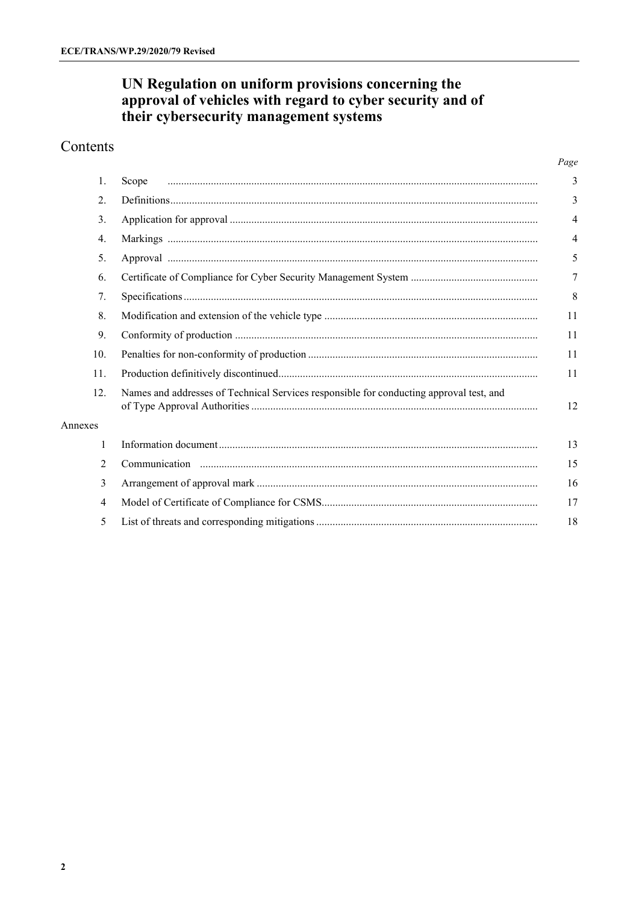# UN Regulation on uniform provisions concerning the<br>approval of vehicles with regard to cyber security and of<br>their cybersecurity management systems

## Contents

|         |                                                                                         | Page           |
|---------|-----------------------------------------------------------------------------------------|----------------|
| 1.      | Scope                                                                                   | 3              |
| 2.      |                                                                                         | 3              |
| 3.      |                                                                                         | 4              |
| 4.      |                                                                                         | $\overline{4}$ |
| 5.      |                                                                                         | 5              |
| 6.      |                                                                                         | 7              |
| 7.      |                                                                                         | 8              |
| 8.      |                                                                                         | 11             |
| 9.      |                                                                                         | 11             |
| 10.     |                                                                                         | 11             |
| 11.     |                                                                                         | 11             |
| 12.     | Names and addresses of Technical Services responsible for conducting approval test, and | 12             |
| Annexes |                                                                                         |                |
| 1       |                                                                                         | 13             |
| 2       |                                                                                         | 15             |
| 3       |                                                                                         | 16             |
| 4       |                                                                                         | 17             |
| 5       |                                                                                         | 18             |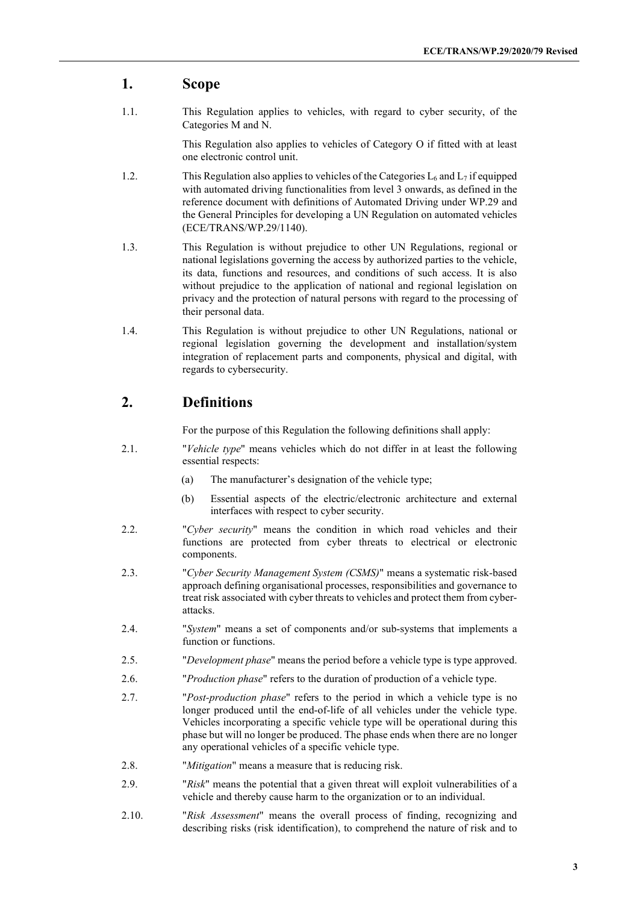#### **1. Scope**

1.1. This Regulation applies to vehicles, with regard to cyber security, of the Categories M and N.

> This Regulation also applies to vehicles of Category O if fitted with at least one electronic control unit.

- 1.2. This Regulation also applies to vehicles of the Categories  $L_6$  and  $L_7$  if equipped with automated driving functionalities from level 3 onwards, as defined in the reference document with definitions of Automated Driving under WP.29 and the General Principles for developing a UN Regulation on automated vehicles (ECE/TRANS/WP.29/1140).
- 1.3. This Regulation is without prejudice to other UN Regulations, regional or national legislations governing the access by authorized parties to the vehicle, its data, functions and resources, and conditions of such access. It is also without prejudice to the application of national and regional legislation on privacy and the protection of natural persons with regard to the processing of their personal data.
- 1.4. This Regulation is without prejudice to other UN Regulations, national or regional legislation governing the development and installation/system integration of replacement parts and components, physical and digital, with regards to cybersecurity.

#### **2. Definitions**

For the purpose of this Regulation the following definitions shall apply:

- 2.1. "*Vehicle type*" means vehicles which do not differ in at least the following essential respects:
	- (a) The manufacturer's designation of the vehicle type;
	- (b) Essential aspects of the electric/electronic architecture and external interfaces with respect to cyber security.
- 2.2. "*Cyber security*" means the condition in which road vehicles and their functions are protected from cyber threats to electrical or electronic components.
- 2.3. "*Cyber Security Management System (CSMS)*" means a systematic risk-based approach defining organisational processes, responsibilities and governance to treat risk associated with cyber threats to vehicles and protect them from cyberattacks.
- 2.4. "*System*" means a set of components and/or sub-systems that implements a function or functions.
- 2.5. "*Development phase*" means the period before a vehicle type is type approved.
- 2.6. "*Production phase*" refers to the duration of production of a vehicle type.
- 2.7. "*Post-production phase*" refers to the period in which a vehicle type is no longer produced until the end-of-life of all vehicles under the vehicle type. Vehicles incorporating a specific vehicle type will be operational during this phase but will no longer be produced. The phase ends when there are no longer any operational vehicles of a specific vehicle type.
- 2.8. "*Mitigation*" means a measure that is reducing risk.
- 2.9. "*Risk*" means the potential that a given threat will exploit vulnerabilities of a vehicle and thereby cause harm to the organization or to an individual.
- 2.10. "*Risk Assessment*" means the overall process of finding, recognizing and describing risks (risk identification), to comprehend the nature of risk and to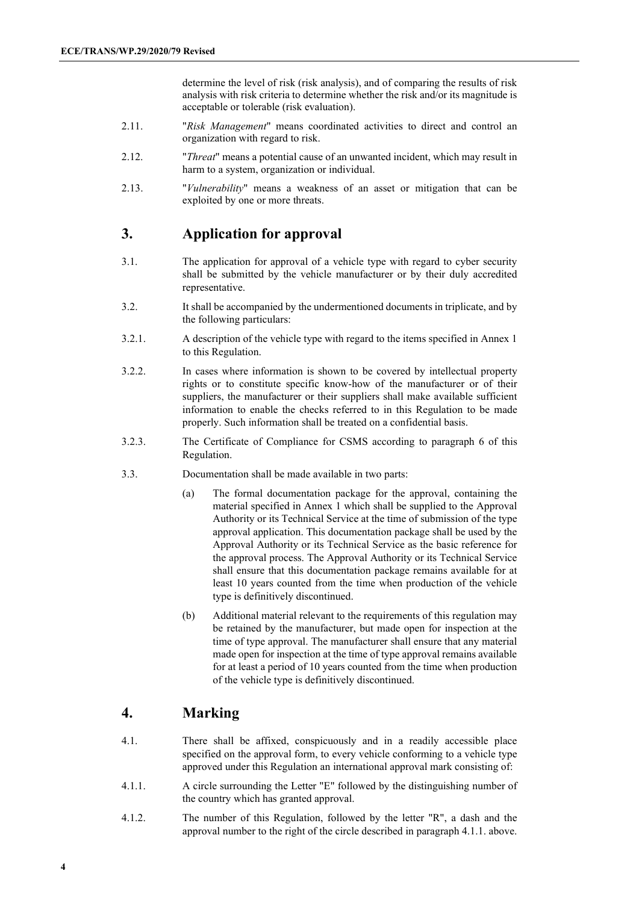determine the level of risk (risk analysis), and of comparing the results of risk analysis with risk criteria to determine whether the risk and/or its magnitude is acceptable or tolerable (risk evaluation).

- 2.11. "*Risk Management*" means coordinated activities to direct and control an organization with regard to risk.
- 2.12. "*Threat*" means a potential cause of an unwanted incident, which may result in harm to a system, organization or individual.
- 2.13. "*Vulnerability*" means a weakness of an asset or mitigation that can be exploited by one or more threats.

### **3. Application for approval**

- 3.1. The application for approval of a vehicle type with regard to cyber security shall be submitted by the vehicle manufacturer or by their duly accredited representative.
- 3.2. It shall be accompanied by the undermentioned documents in triplicate, and by the following particulars:
- 3.2.1. A description of the vehicle type with regard to the items specified in Annex 1 to this Regulation.
- 3.2.2. In cases where information is shown to be covered by intellectual property rights or to constitute specific know-how of the manufacturer or of their suppliers, the manufacturer or their suppliers shall make available sufficient information to enable the checks referred to in this Regulation to be made properly. Such information shall be treated on a confidential basis.
- 3.2.3. The Certificate of Compliance for CSMS according to paragraph 6 of this Regulation.
- 3.3. Documentation shall be made available in two parts:
	- (a) The formal documentation package for the approval, containing the material specified in Annex 1 which shall be supplied to the Approval Authority or its Technical Service at the time of submission of the type approval application. This documentation package shall be used by the Approval Authority or its Technical Service as the basic reference for the approval process. The Approval Authority or its Technical Service shall ensure that this documentation package remains available for at least 10 years counted from the time when production of the vehicle type is definitively discontinued.
	- (b) Additional material relevant to the requirements of this regulation may be retained by the manufacturer, but made open for inspection at the time of type approval. The manufacturer shall ensure that any material made open for inspection at the time of type approval remains available for at least a period of 10 years counted from the time when production of the vehicle type is definitively discontinued.

# **4. Marking**

- 4.1. There shall be affixed, conspicuously and in a readily accessible place specified on the approval form, to every vehicle conforming to a vehicle type approved under this Regulation an international approval mark consisting of:
- 4.1.1. A circle surrounding the Letter "E" followed by the distinguishing number of the country which has granted approval.
- 4.1.2. The number of this Regulation, followed by the letter "R", a dash and the approval number to the right of the circle described in paragraph 4.1.1. above.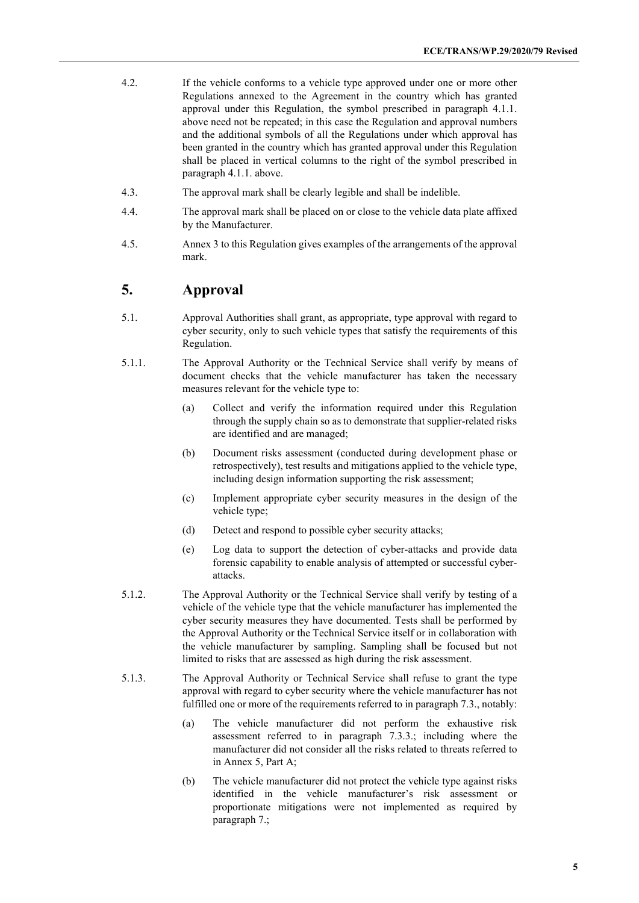- 4.2. If the vehicle conforms to a vehicle type approved under one or more other Regulations annexed to the Agreement in the country which has granted approval under this Regulation, the symbol prescribed in paragraph 4.1.1. above need not be repeated; in this case the Regulation and approval numbers and the additional symbols of all the Regulations under which approval has been granted in the country which has granted approval under this Regulation shall be placed in vertical columns to the right of the symbol prescribed in paragraph 4.1.1. above.
- 4.3. The approval mark shall be clearly legible and shall be indelible.
- 4.4. The approval mark shall be placed on or close to the vehicle data plate affixed by the Manufacturer.
- 4.5. Annex 3 to this Regulation gives examples of the arrangements of the approval mark.

#### **5. Approval**

- 5.1. Approval Authorities shall grant, as appropriate, type approval with regard to cyber security, only to such vehicle types that satisfy the requirements of this Regulation.
- 5.1.1. The Approval Authority or the Technical Service shall verify by means of document checks that the vehicle manufacturer has taken the necessary measures relevant for the vehicle type to:
	- (a) Collect and verify the information required under this Regulation through the supply chain so as to demonstrate that supplier-related risks are identified and are managed;
	- (b) Document risks assessment (conducted during development phase or retrospectively), test results and mitigations applied to the vehicle type, including design information supporting the risk assessment;
	- (c) Implement appropriate cyber security measures in the design of the vehicle type;
	- (d) Detect and respond to possible cyber security attacks;
	- (e) Log data to support the detection of cyber-attacks and provide data forensic capability to enable analysis of attempted or successful cyberattacks.
- 5.1.2. The Approval Authority or the Technical Service shall verify by testing of a vehicle of the vehicle type that the vehicle manufacturer has implemented the cyber security measures they have documented. Tests shall be performed by the Approval Authority or the Technical Service itself or in collaboration with the vehicle manufacturer by sampling. Sampling shall be focused but not limited to risks that are assessed as high during the risk assessment.
- 5.1.3. The Approval Authority or Technical Service shall refuse to grant the type approval with regard to cyber security where the vehicle manufacturer has not fulfilled one or more of the requirements referred to in paragraph 7.3., notably:
	- (a) The vehicle manufacturer did not perform the exhaustive risk assessment referred to in paragraph 7.3.3.; including where the manufacturer did not consider all the risks related to threats referred to in Annex 5, Part A;
	- (b) The vehicle manufacturer did not protect the vehicle type against risks identified in the vehicle manufacturer's risk assessment or proportionate mitigations were not implemented as required by paragraph 7.;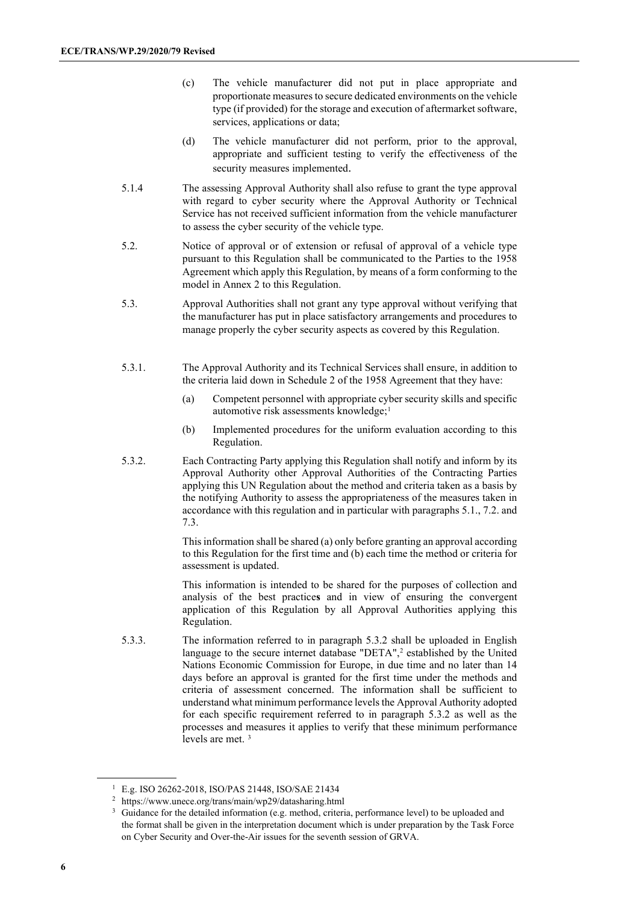- (c) The vehicle manufacturer did not put in place appropriate and proportionate measures to secure dedicated environments on the vehicle type (if provided) for the storage and execution of aftermarket software, services, applications or data;
- (d) The vehicle manufacturer did not perform, prior to the approval, appropriate and sufficient testing to verify the effectiveness of the security measures implemented.
- 5.1.4 The assessing Approval Authority shall also refuse to grant the type approval with regard to cyber security where the Approval Authority or Technical Service has not received sufficient information from the vehicle manufacturer to assess the cyber security of the vehicle type.
- 5.2. Notice of approval or of extension or refusal of approval of a vehicle type pursuant to this Regulation shall be communicated to the Parties to the 1958 Agreement which apply this Regulation, by means of a form conforming to the model in Annex 2 to this Regulation.
- 5.3. Approval Authorities shall not grant any type approval without verifying that the manufacturer has put in place satisfactory arrangements and procedures to manage properly the cyber security aspects as covered by this Regulation.
- 5.3.1. The Approval Authority and its Technical Services shall ensure, in addition to the criteria laid down in Schedule 2 of the 1958 Agreement that they have:
	- (a) Competent personnel with appropriate cyber security skills and specific automotive risk assessments knowledge;<sup>[1](#page-5-0)</sup>
	- (b) Implemented procedures for the uniform evaluation according to this Regulation.
- 5.3.2. Each Contracting Party applying this Regulation shall notify and inform by its Approval Authority other Approval Authorities of the Contracting Parties applying this UN Regulation about the method and criteria taken as a basis by the notifying Authority to assess the appropriateness of the measures taken in accordance with this regulation and in particular with paragraphs 5.1., 7.2. and 7.3.

This information shall be shared (a) only before granting an approval according to this Regulation for the first time and (b) each time the method or criteria for assessment is updated.

This information is intended to be shared for the purposes of collection and analysis of the best practice**s** and in view of ensuring the convergent application of this Regulation by all Approval Authorities applying this Regulation.

5.3.3. The information referred to in paragraph 5.3.2 shall be uploaded in English language to the secure internet database "DETA",<sup>[2](#page-5-1)</sup> established by the United Nations Economic Commission for Europe, in due time and no later than 14 days before an approval is granted for the first time under the methods and criteria of assessment concerned. The information shall be sufficient to understand what minimum performance levels the Approval Authority adopted for each specific requirement referred to in paragraph 5.3.2 as well as the processes and measures it applies to verify that these minimum performance levels are met. [3](#page-5-2)

<sup>1</sup> E.g. ISO 26262-2018, ISO/PAS 21448, ISO/SAE 21434

<span id="page-5-1"></span><span id="page-5-0"></span><sup>2</sup> https://www.unece.org/trans/main/wp29/datasharing.html

<span id="page-5-2"></span><sup>&</sup>lt;sup>3</sup> Guidance for the detailed information (e.g. method, criteria, performance level) to be uploaded and the format shall be given in the interpretation document which is under preparation by the Task Force on Cyber Security and Over-the-Air issues for the seventh session of GRVA.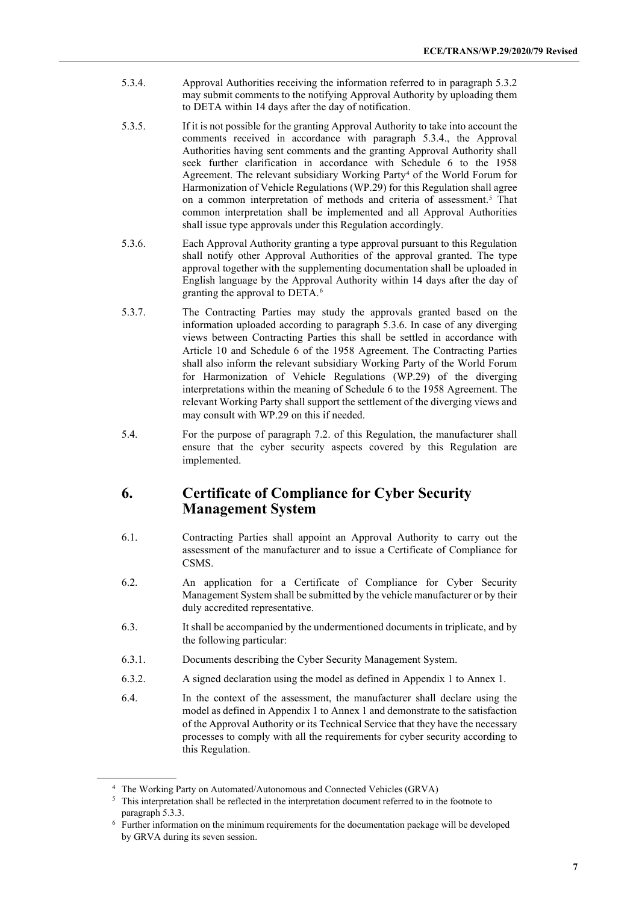- 5.3.4. Approval Authorities receiving the information referred to in paragraph 5.3.2 may submit comments to the notifying Approval Authority by uploading them to DETA within 14 days after the day of notification.
- 5.3.5. If it is not possible for the granting Approval Authority to take into account the comments received in accordance with paragraph 5.3.4., the Approval Authorities having sent comments and the granting Approval Authority shall seek further clarification in accordance with Schedule 6 to the 1958 Agreement. The relevant subsidiary Working Party<sup>[4](#page-6-0)</sup> of the World Forum for Harmonization of Vehicle Regulations (WP.29) for this Regulation shall agree on a common interpretation of methods and criteria of assessment. [5](#page-6-1) That common interpretation shall be implemented and all Approval Authorities shall issue type approvals under this Regulation accordingly.
- 5.3.6. Each Approval Authority granting a type approval pursuant to this Regulation shall notify other Approval Authorities of the approval granted. The type approval together with the supplementing documentation shall be uploaded in English language by the Approval Authority within 14 days after the day of granting the approval to DETA.[6](#page-6-2)
- 5.3.7. The Contracting Parties may study the approvals granted based on the information uploaded according to paragraph 5.3.6. In case of any diverging views between Contracting Parties this shall be settled in accordance with Article 10 and Schedule 6 of the 1958 Agreement. The Contracting Parties shall also inform the relevant subsidiary Working Party of the World Forum for Harmonization of Vehicle Regulations (WP.29) of the diverging interpretations within the meaning of Schedule 6 to the 1958 Agreement. The relevant Working Party shall support the settlement of the diverging views and may consult with WP.29 on this if needed.
- 5.4. For the purpose of paragraph 7.2. of this Regulation, the manufacturer shall ensure that the cyber security aspects covered by this Regulation are implemented.

#### **6. Certificate of Compliance for Cyber Security Management System**

- 6.1. Contracting Parties shall appoint an Approval Authority to carry out the assessment of the manufacturer and to issue a Certificate of Compliance for CSMS.
- 6.2. An application for a Certificate of Compliance for Cyber Security Management System shall be submitted by the vehicle manufacturer or by their duly accredited representative.
- 6.3. It shall be accompanied by the undermentioned documents in triplicate, and by the following particular:
- 6.3.1. Documents describing the Cyber Security Management System.
- 6.3.2. A signed declaration using the model as defined in Appendix 1 to Annex 1.
- 6.4. In the context of the assessment, the manufacturer shall declare using the model as defined in Appendix 1 to Annex 1 and demonstrate to the satisfaction of the Approval Authority or its Technical Service that they have the necessary processes to comply with all the requirements for cyber security according to this Regulation.

<span id="page-6-1"></span><span id="page-6-0"></span><sup>4</sup> The Working Party on Automated/Autonomous and Connected Vehicles (GRVA)

<sup>5</sup> This interpretation shall be reflected in the interpretation document referred to in the footnote to

<span id="page-6-2"></span>paragraph 5.3.3.<br><sup>6</sup> Further information on the minimum requirements for the documentation package will be developed by GRVA during its seven session.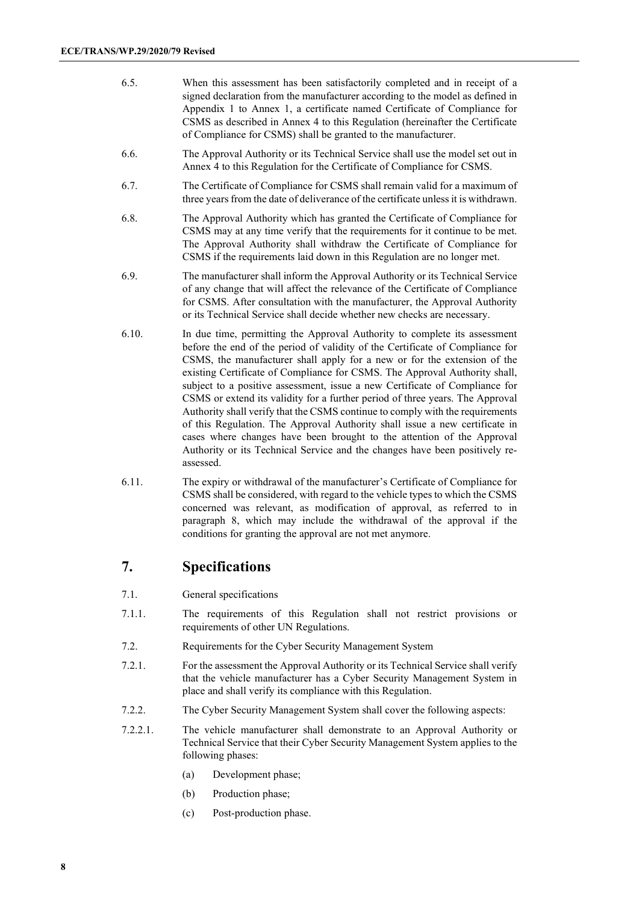- 6.5. When this assessment has been satisfactorily completed and in receipt of a signed declaration from the manufacturer according to the model as defined in Appendix 1 to Annex 1, a certificate named Certificate of Compliance for CSMS as described in Annex 4 to this Regulation (hereinafter the Certificate of Compliance for CSMS) shall be granted to the manufacturer.
- 6.6. The Approval Authority or its Technical Service shall use the model set out in Annex 4 to this Regulation for the Certificate of Compliance for CSMS.
- 6.7. The Certificate of Compliance for CSMS shall remain valid for a maximum of three years from the date of deliverance of the certificate unless it is withdrawn.
- 6.8. The Approval Authority which has granted the Certificate of Compliance for CSMS may at any time verify that the requirements for it continue to be met. The Approval Authority shall withdraw the Certificate of Compliance for CSMS if the requirements laid down in this Regulation are no longer met.
- 6.9. The manufacturer shall inform the Approval Authority or its Technical Service of any change that will affect the relevance of the Certificate of Compliance for CSMS. After consultation with the manufacturer, the Approval Authority or its Technical Service shall decide whether new checks are necessary.
- 6.10. In due time, permitting the Approval Authority to complete its assessment before the end of the period of validity of the Certificate of Compliance for CSMS, the manufacturer shall apply for a new or for the extension of the existing Certificate of Compliance for CSMS. The Approval Authority shall, subject to a positive assessment, issue a new Certificate of Compliance for CSMS or extend its validity for a further period of three years. The Approval Authority shall verify that the CSMS continue to comply with the requirements of this Regulation. The Approval Authority shall issue a new certificate in cases where changes have been brought to the attention of the Approval Authority or its Technical Service and the changes have been positively reassessed.
- 6.11. The expiry or withdrawal of the manufacturer's Certificate of Compliance for CSMS shall be considered, with regard to the vehicle types to which the CSMS concerned was relevant, as modification of approval, as referred to in paragraph 8, which may include the withdrawal of the approval if the conditions for granting the approval are not met anymore.

#### **7. Specifications**

- 7.1. General specifications
- 7.1.1. The requirements of this Regulation shall not restrict provisions or requirements of other UN Regulations.
- 7.2. Requirements for the Cyber Security Management System
- 7.2.1. For the assessment the Approval Authority or its Technical Service shall verify that the vehicle manufacturer has a Cyber Security Management System in place and shall verify its compliance with this Regulation.
- 7.2.2. The Cyber Security Management System shall cover the following aspects:
- 7.2.2.1. The vehicle manufacturer shall demonstrate to an Approval Authority or Technical Service that their Cyber Security Management System applies to the following phases:
	- (a) Development phase;
	- (b) Production phase;
	- (c) Post-production phase.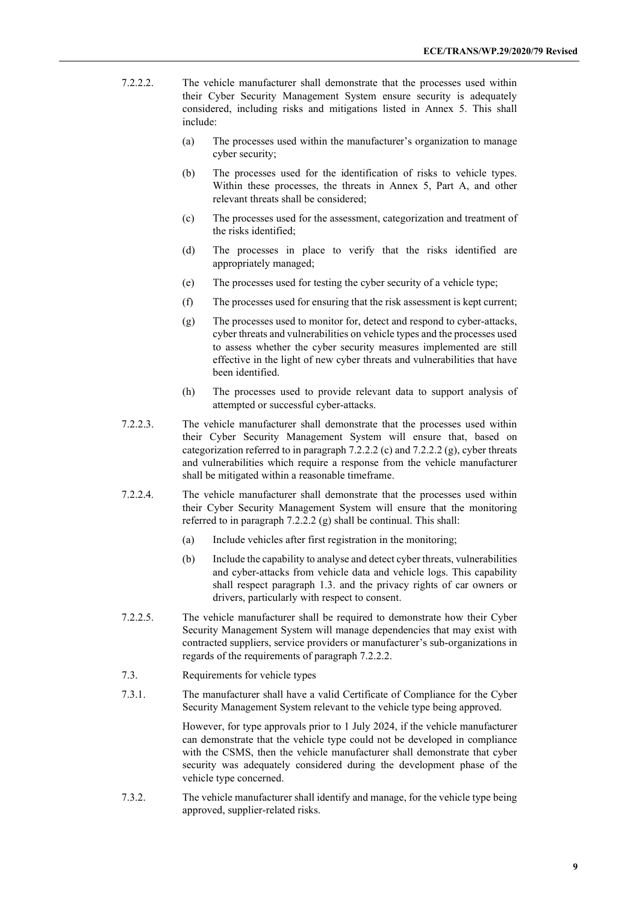- 7.2.2.2. The vehicle manufacturer shall demonstrate that the processes used within their Cyber Security Management System ensure security is adequately considered, including risks and mitigations listed in Annex 5. This shall include:
	- (a) The processes used within the manufacturer's organization to manage cyber security;
	- (b) The processes used for the identification of risks to vehicle types. Within these processes, the threats in Annex 5, Part A, and other relevant threats shall be considered;
	- (c) The processes used for the assessment, categorization and treatment of the risks identified;
	- (d) The processes in place to verify that the risks identified are appropriately managed;
	- (e) The processes used for testing the cyber security of a vehicle type;
	- (f) The processes used for ensuring that the risk assessment is kept current;
	- (g) The processes used to monitor for, detect and respond to cyber-attacks, cyber threats and vulnerabilities on vehicle types and the processes used to assess whether the cyber security measures implemented are still effective in the light of new cyber threats and vulnerabilities that have been identified.
	- (h) The processes used to provide relevant data to support analysis of attempted or successful cyber-attacks.
- 7.2.2.3. The vehicle manufacturer shall demonstrate that the processes used within their Cyber Security Management System will ensure that, based on categorization referred to in paragraph 7.2.2.2 (c) and 7.2.2.2 (g), cyber threats and vulnerabilities which require a response from the vehicle manufacturer shall be mitigated within a reasonable timeframe.
- 7.2.2.4. The vehicle manufacturer shall demonstrate that the processes used within their Cyber Security Management System will ensure that the monitoring referred to in paragraph 7.2.2.2 (g) shall be continual. This shall:
	- (a) Include vehicles after first registration in the monitoring;
	- (b) Include the capability to analyse and detect cyber threats, vulnerabilities and cyber-attacks from vehicle data and vehicle logs. This capability shall respect paragraph 1.3. and the privacy rights of car owners or drivers, particularly with respect to consent.
- 7.2.2.5. The vehicle manufacturer shall be required to demonstrate how their Cyber Security Management System will manage dependencies that may exist with contracted suppliers, service providers or manufacturer's sub-organizations in regards of the requirements of paragraph 7.2.2.2.
- 7.3. Requirements for vehicle types
- 7.3.1. The manufacturer shall have a valid Certificate of Compliance for the Cyber Security Management System relevant to the vehicle type being approved.

However, for type approvals prior to 1 July 2024, if the vehicle manufacturer can demonstrate that the vehicle type could not be developed in compliance with the CSMS, then the vehicle manufacturer shall demonstrate that cyber security was adequately considered during the development phase of the vehicle type concerned.

7.3.2. The vehicle manufacturer shall identify and manage, for the vehicle type being approved, supplier-related risks.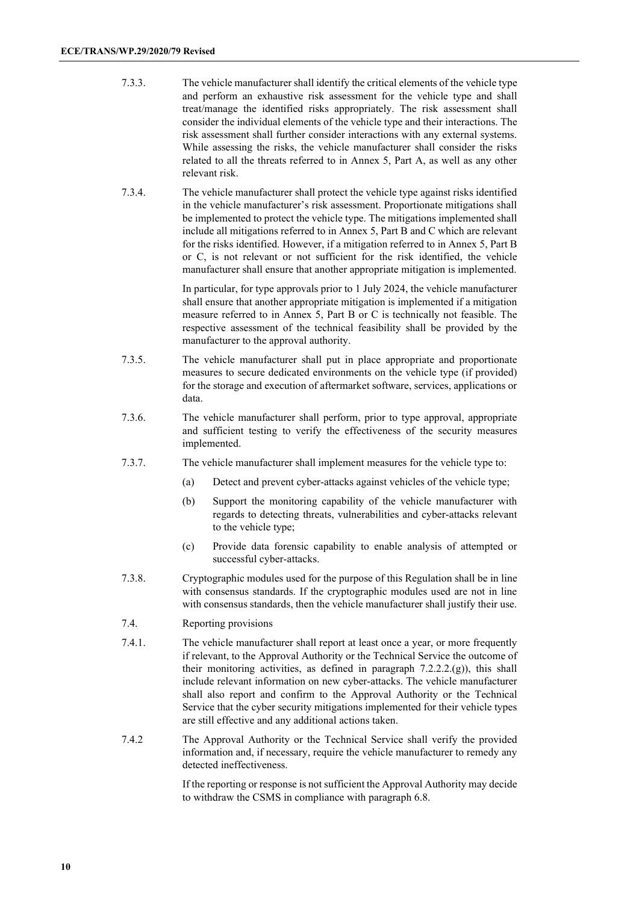- 7.3.3. The vehicle manufacturer shall identify the critical elements of the vehicle type and perform an exhaustive risk assessment for the vehicle type and shall treat/manage the identified risks appropriately. The risk assessment shall consider the individual elements of the vehicle type and their interactions. The risk assessment shall further consider interactions with any external systems. While assessing the risks, the vehicle manufacturer shall consider the risks related to all the threats referred to in Annex 5, Part A, as well as any other relevant risk.
- 7.3.4. The vehicle manufacturer shall protect the vehicle type against risks identified in the vehicle manufacturer's risk assessment. Proportionate mitigations shall be implemented to protect the vehicle type. The mitigations implemented shall include all mitigations referred to in Annex 5, Part B and C which are relevant for the risks identified. However, if a mitigation referred to in Annex 5, Part B or C, is not relevant or not sufficient for the risk identified, the vehicle manufacturer shall ensure that another appropriate mitigation is implemented.

In particular, for type approvals prior to 1 July 2024, the vehicle manufacturer shall ensure that another appropriate mitigation is implemented if a mitigation measure referred to in Annex 5, Part B or C is technically not feasible. The respective assessment of the technical feasibility shall be provided by the manufacturer to the approval authority.

- 7.3.5. The vehicle manufacturer shall put in place appropriate and proportionate measures to secure dedicated environments on the vehicle type (if provided) for the storage and execution of aftermarket software, services, applications or data.
- 7.3.6. The vehicle manufacturer shall perform, prior to type approval, appropriate and sufficient testing to verify the effectiveness of the security measures implemented.
- 7.3.7. The vehicle manufacturer shall implement measures for the vehicle type to:
	- (a) Detect and prevent cyber-attacks against vehicles of the vehicle type;
	- (b) Support the monitoring capability of the vehicle manufacturer with regards to detecting threats, vulnerabilities and cyber-attacks relevant to the vehicle type;
	- (c) Provide data forensic capability to enable analysis of attempted or successful cyber-attacks.
- 7.3.8. Cryptographic modules used for the purpose of this Regulation shall be in line with consensus standards. If the cryptographic modules used are not in line with consensus standards, then the vehicle manufacturer shall justify their use.
- 7.4. Reporting provisions
- 7.4.1. The vehicle manufacturer shall report at least once a year, or more frequently if relevant, to the Approval Authority or the Technical Service the outcome of their monitoring activities, as defined in paragraph  $7.2.2.2.(g)$ ), this shall include relevant information on new cyber-attacks. The vehicle manufacturer shall also report and confirm to the Approval Authority or the Technical Service that the cyber security mitigations implemented for their vehicle types are still effective and any additional actions taken.
- 7.4.2 The Approval Authority or the Technical Service shall verify the provided information and, if necessary, require the vehicle manufacturer to remedy any detected ineffectiveness.

If the reporting or response is not sufficient the Approval Authority may decide to withdraw the CSMS in compliance with paragraph 6.8.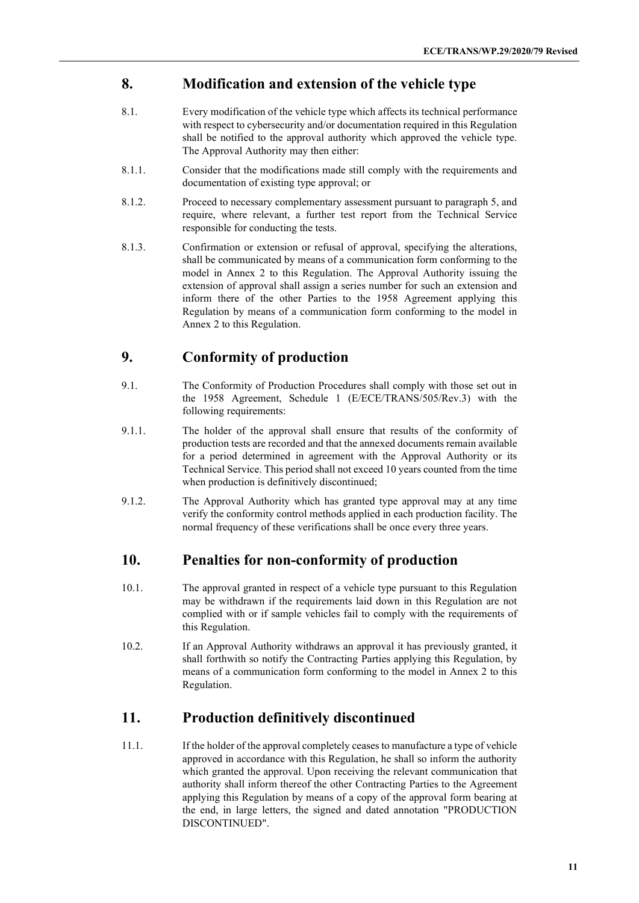#### **8. Modification and extension of the vehicle type**

- 8.1. Every modification of the vehicle type which affects its technical performance with respect to cybersecurity and/or documentation required in this Regulation shall be notified to the approval authority which approved the vehicle type. The Approval Authority may then either:
- 8.1.1. Consider that the modifications made still comply with the requirements and documentation of existing type approval; or
- 8.1.2. Proceed to necessary complementary assessment pursuant to paragraph 5, and require, where relevant, a further test report from the Technical Service responsible for conducting the tests.
- 8.1.3. Confirmation or extension or refusal of approval, specifying the alterations, shall be communicated by means of a communication form conforming to the model in Annex 2 to this Regulation. The Approval Authority issuing the extension of approval shall assign a series number for such an extension and inform there of the other Parties to the 1958 Agreement applying this Regulation by means of a communication form conforming to the model in Annex 2 to this Regulation.

#### **9. Conformity of production**

- 9.1. The Conformity of Production Procedures shall comply with those set out in the 1958 Agreement, Schedule 1 (E/ECE/TRANS/505/Rev.3) with the following requirements:
- 9.1.1. The holder of the approval shall ensure that results of the conformity of production tests are recorded and that the annexed documents remain available for a period determined in agreement with the Approval Authority or its Technical Service. This period shall not exceed 10 years counted from the time when production is definitively discontinued;
- 9.1.2. The Approval Authority which has granted type approval may at any time verify the conformity control methods applied in each production facility. The normal frequency of these verifications shall be once every three years.

#### **10. Penalties for non-conformity of production**

- 10.1. The approval granted in respect of a vehicle type pursuant to this Regulation may be withdrawn if the requirements laid down in this Regulation are not complied with or if sample vehicles fail to comply with the requirements of this Regulation.
- 10.2. If an Approval Authority withdraws an approval it has previously granted, it shall forthwith so notify the Contracting Parties applying this Regulation, by means of a communication form conforming to the model in Annex 2 to this Regulation.

#### **11. Production definitively discontinued**

11.1. If the holder of the approval completely ceases to manufacture a type of vehicle approved in accordance with this Regulation, he shall so inform the authority which granted the approval. Upon receiving the relevant communication that authority shall inform thereof the other Contracting Parties to the Agreement applying this Regulation by means of a copy of the approval form bearing at the end, in large letters, the signed and dated annotation "PRODUCTION DISCONTINUED".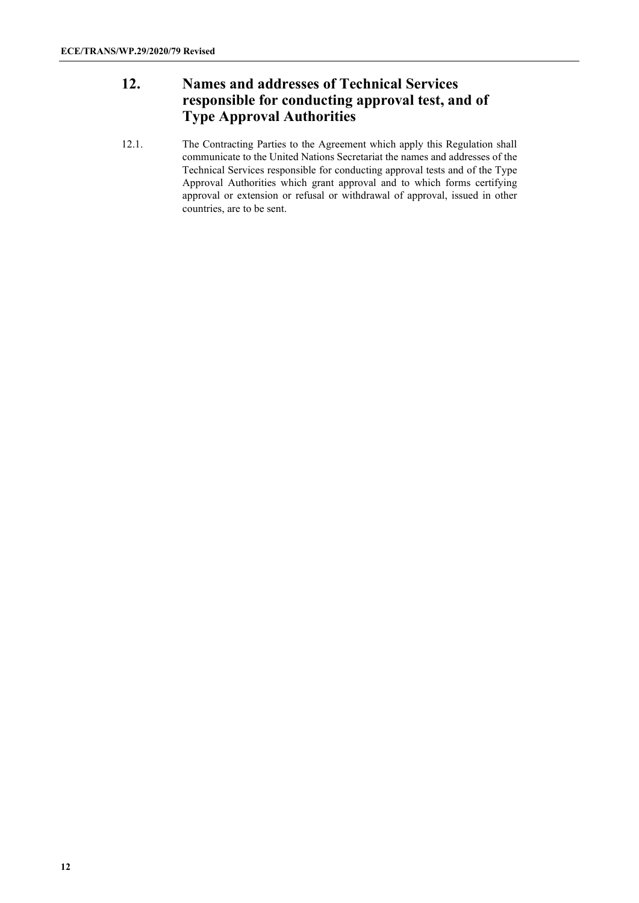# **12. Names and addresses of Technical Services responsible for conducting approval test, and of Type Approval Authorities**

12.1. The Contracting Parties to the Agreement which apply this Regulation shall communicate to the United Nations Secretariat the names and addresses of the Technical Services responsible for conducting approval tests and of the Type Approval Authorities which grant approval and to which forms certifying approval or extension or refusal or withdrawal of approval, issued in other countries, are to be sent.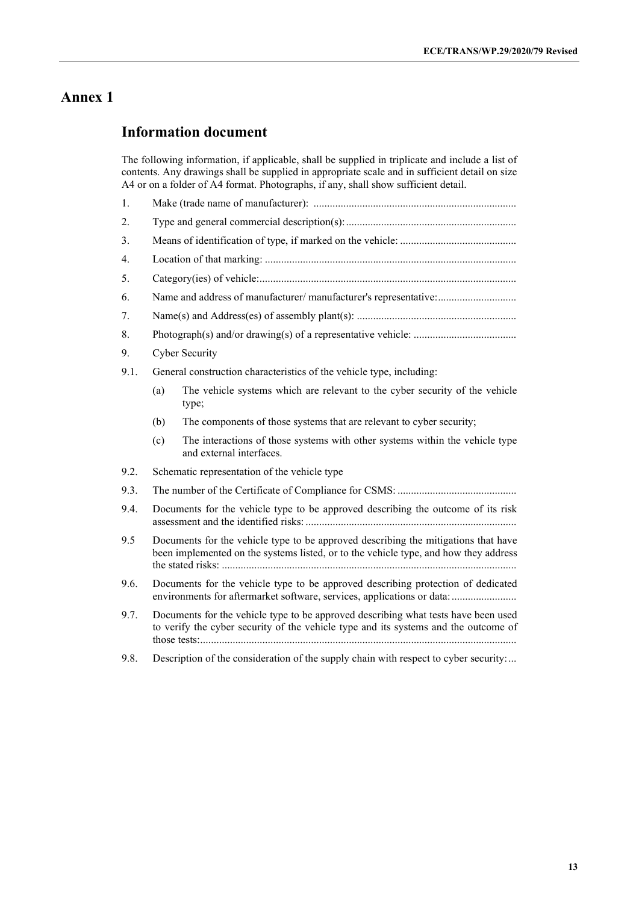#### **Information document**

The following information, if applicable, shall be supplied in triplicate and include a list of contents. Any drawings shall be supplied in appropriate scale and in sufficient detail on size A4 or on a folder of A4 format. Photographs, if any, shall show sufficient detail.

- 1. Make (trade name of manufacturer): ........................................................................... 2. Type and general commercial description(s):............................................................... 3. Means of identification of type, if marked on the vehicle: ........................................... 4. Location of that marking: ............................................................................................. 5. Category(ies) of vehicle:............................................................................................... 6. Name and address of manufacturer/ manufacturer's representative:............................. 7. Name(s) and Address(es) of assembly plant(s): ........................................................... 8. Photograph(s) and/or drawing(s) of a representative vehicle: ...................................... 9. Cyber Security 9.1. General construction characteristics of the vehicle type, including: (a) The vehicle systems which are relevant to the cyber security of the vehicle type; (b) The components of those systems that are relevant to cyber security; (c) The interactions of those systems with other systems within the vehicle type and external interfaces. 9.2. Schematic representation of the vehicle type 9.3. The number of the Certificate of Compliance for CSMS: ............................................ 9.4. Documents for the vehicle type to be approved describing the outcome of its risk assessment and the identified risks: .............................................................................. 9.5 Documents for the vehicle type to be approved describing the mitigations that have been implemented on the systems listed, or to the vehicle type, and how they address the stated risks: ............................................................................................................. 9.6. Documents for the vehicle type to be approved describing protection of dedicated environments for aftermarket software, services, applications or data:..............................
- 9.7. Documents for the vehicle type to be approved describing what tests have been used to verify the cyber security of the vehicle type and its systems and the outcome of those tests:.....................................................................................................................
- 9.8. Description of the consideration of the supply chain with respect to cyber security:...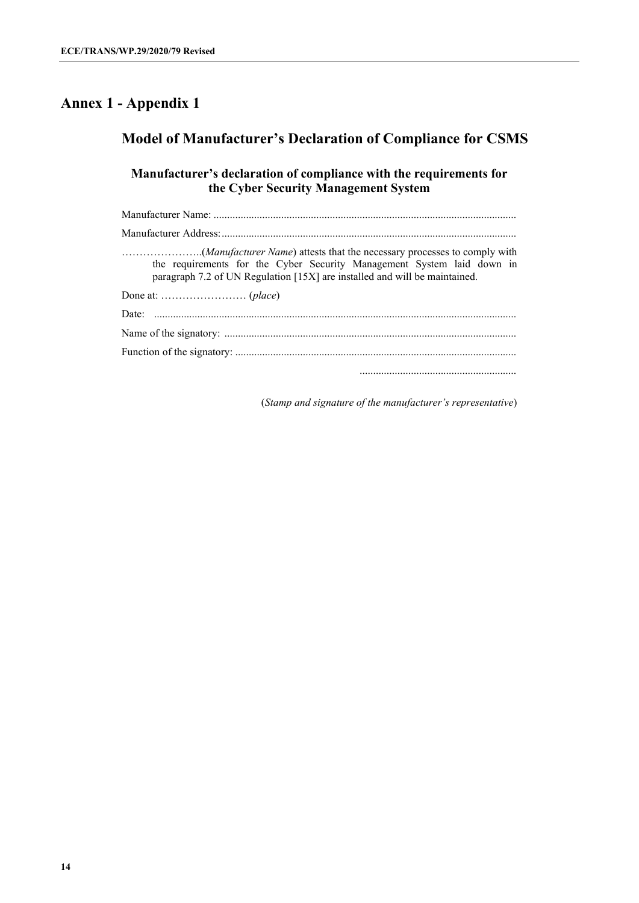# **Annex 1 - Appendix 1**

# **Model of Manufacturer's Declaration of Compliance for CSMS**

#### **Manufacturer's declaration of compliance with the requirements for the Cyber Security Management System**

| the requirements for the Cyber Security Management System laid down in<br>paragraph 7.2 of UN Regulation [15X] are installed and will be maintained. |
|------------------------------------------------------------------------------------------------------------------------------------------------------|
|                                                                                                                                                      |
|                                                                                                                                                      |
|                                                                                                                                                      |
|                                                                                                                                                      |
|                                                                                                                                                      |

(*Stamp and signature of the manufacturer's representative*)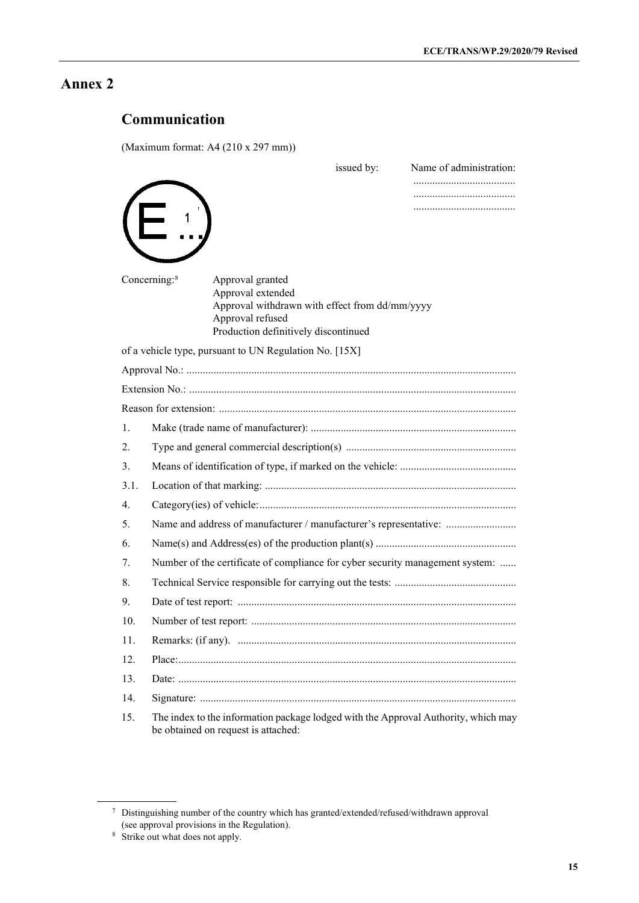# **Communication**

(Maximum format: A4 (210 x 297 mm))

|      | issued by:<br>Name of administration:                                                                                                                                           |  |  |  |  |  |
|------|---------------------------------------------------------------------------------------------------------------------------------------------------------------------------------|--|--|--|--|--|
|      |                                                                                                                                                                                 |  |  |  |  |  |
|      |                                                                                                                                                                                 |  |  |  |  |  |
|      |                                                                                                                                                                                 |  |  |  |  |  |
|      |                                                                                                                                                                                 |  |  |  |  |  |
|      | Concerning: <sup>8</sup><br>Approval granted<br>Approval extended<br>Approval withdrawn with effect from dd/mm/yyyy<br>Approval refused<br>Production definitively discontinued |  |  |  |  |  |
|      | of a vehicle type, pursuant to UN Regulation No. [15X]                                                                                                                          |  |  |  |  |  |
|      |                                                                                                                                                                                 |  |  |  |  |  |
|      |                                                                                                                                                                                 |  |  |  |  |  |
|      |                                                                                                                                                                                 |  |  |  |  |  |
| 1.   |                                                                                                                                                                                 |  |  |  |  |  |
| 2.   |                                                                                                                                                                                 |  |  |  |  |  |
| 3.   |                                                                                                                                                                                 |  |  |  |  |  |
| 3.1. |                                                                                                                                                                                 |  |  |  |  |  |
| 4.   |                                                                                                                                                                                 |  |  |  |  |  |
| 5.   | Name and address of manufacturer / manufacturer's representative:                                                                                                               |  |  |  |  |  |
| 6.   |                                                                                                                                                                                 |  |  |  |  |  |
| 7.   | Number of the certificate of compliance for cyber security management system:                                                                                                   |  |  |  |  |  |
| 8.   |                                                                                                                                                                                 |  |  |  |  |  |
| 9.   |                                                                                                                                                                                 |  |  |  |  |  |
| 10.  |                                                                                                                                                                                 |  |  |  |  |  |
| 11.  |                                                                                                                                                                                 |  |  |  |  |  |
| 12.  |                                                                                                                                                                                 |  |  |  |  |  |
| 13.  |                                                                                                                                                                                 |  |  |  |  |  |
| 14.  |                                                                                                                                                                                 |  |  |  |  |  |
| 15.  | The index to the information package lodged with the Approval Authority, which may<br>be obtained on request is attached:                                                       |  |  |  |  |  |

<span id="page-14-0"></span> $7$  Distinguishing number of the country which has granted/extended/refused/withdrawn approval (see approval provisions in the Regulation).

<span id="page-14-1"></span><sup>&</sup>lt;sup>8</sup> Strike out what does not apply.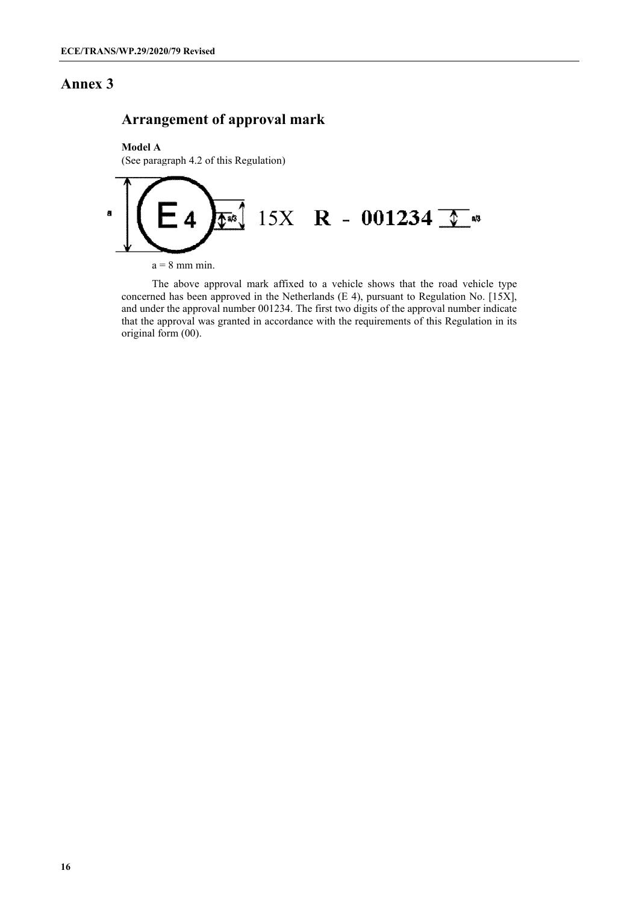## **Arrangement of approval mark**

**Model A** (See paragraph 4.2 of this Regulation)



The above approval mark affixed to a vehicle shows that the road vehicle type concerned has been approved in the Netherlands (E 4), pursuant to Regulation No. [15X], and under the approval number 001234. The first two digits of the approval number indicate that the approval was granted in accordance with the requirements of this Regulation in its original form (00).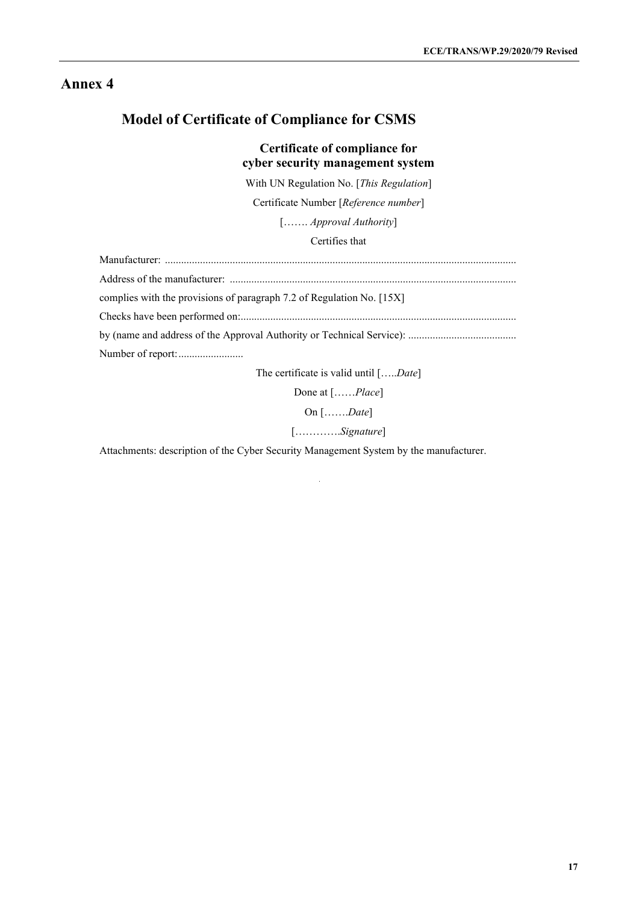# **Model of Certificate of Compliance for CSMS**

#### **Certificate of compliance for cyber security management system**

With UN Regulation No. [*This Regulation*]

Certificate Number [*Reference number*]

[……. *Approval Authority*]

Certifies that

| complies with the provisions of paragraph 7.2 of Regulation No. [15X] |
|-----------------------------------------------------------------------|
|                                                                       |
|                                                                       |
|                                                                       |
| The cortificate is valid until $[$ $Data]$                            |

The certificate is valid until […..*Date*]

Done at [……*Place*]

On […….*Date*]

[………….*Signature*]

Attachments: description of the Cyber Security Management System by the manufacturer.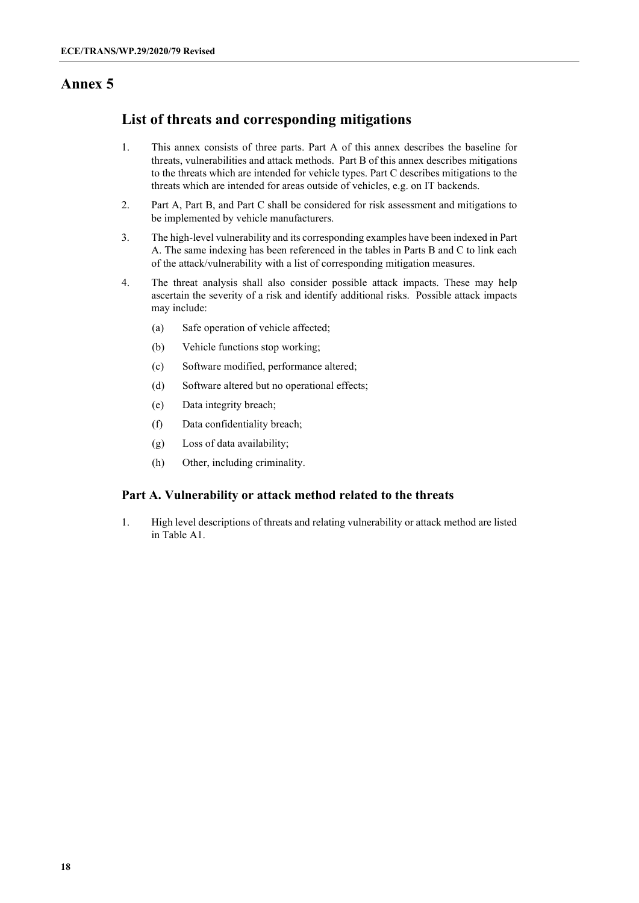## **List of threats and corresponding mitigations**

- 1. This annex consists of three parts. Part A of this annex describes the baseline for threats, vulnerabilities and attack methods. Part B of this annex describes mitigations to the threats which are intended for vehicle types. Part C describes mitigations to the threats which are intended for areas outside of vehicles, e.g. on IT backends.
- 2. Part A, Part B, and Part C shall be considered for risk assessment and mitigations to be implemented by vehicle manufacturers.
- 3. The high-level vulnerability and its corresponding examples have been indexed in Part A. The same indexing has been referenced in the tables in Parts B and C to link each of the attack/vulnerability with a list of corresponding mitigation measures.
- 4. The threat analysis shall also consider possible attack impacts. These may help ascertain the severity of a risk and identify additional risks. Possible attack impacts may include:
	- (a) Safe operation of vehicle affected;
	- (b) Vehicle functions stop working;
	- (c) Software modified, performance altered;
	- (d) Software altered but no operational effects;
	- (e) Data integrity breach;
	- (f) Data confidentiality breach;
	- (g) Loss of data availability;
	- (h) Other, including criminality.

#### **Part A. Vulnerability or attack method related to the threats**

1. High level descriptions of threats and relating vulnerability or attack method are listed in Table A1.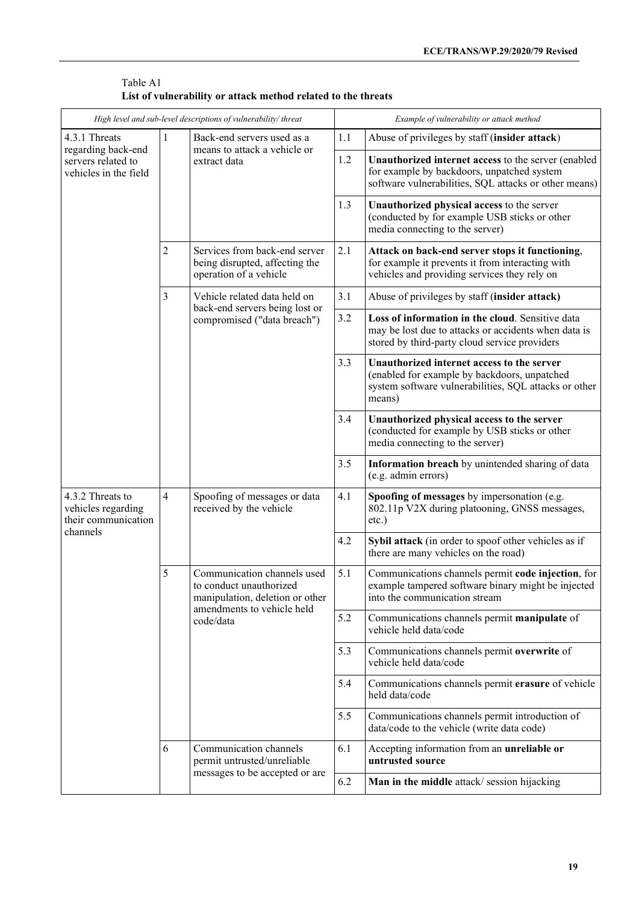| High level and sub-level descriptions of vulnerability/threat     |                |                                                                                                                                      | Example of vulnerability or attack method |                                                                                                                                                               |  |
|-------------------------------------------------------------------|----------------|--------------------------------------------------------------------------------------------------------------------------------------|-------------------------------------------|---------------------------------------------------------------------------------------------------------------------------------------------------------------|--|
| 4.3.1 Threats                                                     |                | Back-end servers used as a<br>means to attack a vehicle or<br>extract data                                                           | 1.1                                       | Abuse of privileges by staff (insider attack)                                                                                                                 |  |
| regarding back-end<br>servers related to<br>vehicles in the field |                |                                                                                                                                      | 1.2                                       | Unauthorized internet access to the server (enabled<br>for example by backdoors, unpatched system<br>software vulnerabilities, SQL attacks or other means)    |  |
|                                                                   |                |                                                                                                                                      | 1.3                                       | Unauthorized physical access to the server<br>(conducted by for example USB sticks or other<br>media connecting to the server)                                |  |
|                                                                   | 2              | Services from back-end server<br>being disrupted, affecting the<br>operation of a vehicle                                            | 2.1                                       | Attack on back-end server stops it functioning,<br>for example it prevents it from interacting with<br>vehicles and providing services they rely on           |  |
|                                                                   | 3              | Vehicle related data held on                                                                                                         | 3.1                                       | Abuse of privileges by staff (insider attack)                                                                                                                 |  |
|                                                                   |                | back-end servers being lost or<br>compromised ("data breach")                                                                        | 3.2                                       | Loss of information in the cloud. Sensitive data<br>may be lost due to attacks or accidents when data is<br>stored by third-party cloud service providers     |  |
|                                                                   |                |                                                                                                                                      | 3.3                                       | Unauthorized internet access to the server<br>(enabled for example by backdoors, unpatched<br>system software vulnerabilities, SQL attacks or other<br>means) |  |
|                                                                   |                |                                                                                                                                      | 3.4                                       | Unauthorized physical access to the server<br>(conducted for example by USB sticks or other<br>media connecting to the server)                                |  |
|                                                                   |                |                                                                                                                                      | 3.5                                       | Information breach by unintended sharing of data<br>(e.g. admin errors)                                                                                       |  |
| 4.3.2 Threats to<br>vehicles regarding<br>their communication     | $\overline{4}$ | Spoofing of messages or data<br>received by the vehicle                                                                              | 4.1                                       | Spoofing of messages by impersonation (e.g.<br>802.11p V2X during platooning, GNSS messages,<br>etc.)                                                         |  |
| channels                                                          |                |                                                                                                                                      | 4.2                                       | Sybil attack (in order to spoof other vehicles as if<br>there are many vehicles on the road)                                                                  |  |
|                                                                   | 5              | Communication channels used<br>to conduct unauthorized<br>manipulation, deletion or other<br>amendments to vehicle held<br>code/data | 5.1                                       | Communications channels permit code injection, for<br>example tampered software binary might be injected<br>into the communication stream                     |  |
|                                                                   |                |                                                                                                                                      | 5.2                                       | Communications channels permit manipulate of<br>vehicle held data/code                                                                                        |  |
|                                                                   |                |                                                                                                                                      | 5.3                                       | Communications channels permit overwrite of<br>vehicle held data/code                                                                                         |  |
|                                                                   |                |                                                                                                                                      | 5.4                                       | Communications channels permit erasure of vehicle<br>held data/code                                                                                           |  |
|                                                                   |                |                                                                                                                                      | 5.5                                       | Communications channels permit introduction of<br>data/code to the vehicle (write data code)                                                                  |  |
|                                                                   | 6              | Communication channels<br>permit untrusted/unreliable<br>messages to be accepted or are                                              | 6.1                                       | Accepting information from an unreliable or<br>untrusted source                                                                                               |  |
|                                                                   |                |                                                                                                                                      | 6.2                                       | Man in the middle attack/session hijacking                                                                                                                    |  |

| Table A1                                                      |  |  |
|---------------------------------------------------------------|--|--|
| List of vulnerability or attack method related to the threats |  |  |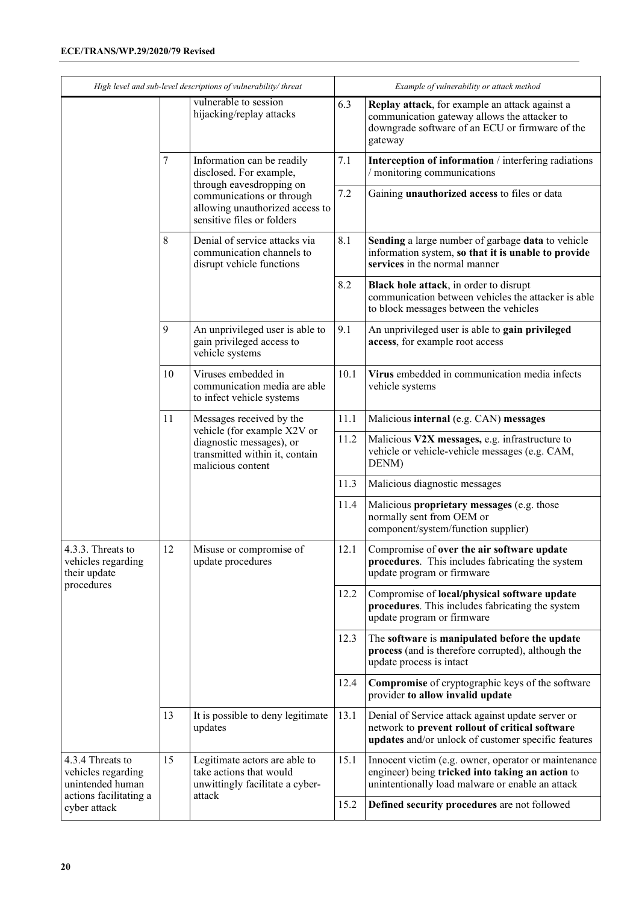#### **ECE/TRANS/WP.29/2020/79 Revised**

| High level and sub-level descriptions of vulnerability/threat |                                                                                                                                                  |                                                                                                                                                                                 | Example of vulnerability or attack method                                                                                      |                                                                                                                                                              |  |
|---------------------------------------------------------------|--------------------------------------------------------------------------------------------------------------------------------------------------|---------------------------------------------------------------------------------------------------------------------------------------------------------------------------------|--------------------------------------------------------------------------------------------------------------------------------|--------------------------------------------------------------------------------------------------------------------------------------------------------------|--|
|                                                               |                                                                                                                                                  | vulnerable to session<br>hijacking/replay attacks                                                                                                                               | 6.3                                                                                                                            | Replay attack, for example an attack against a<br>communication gateway allows the attacker to<br>downgrade software of an ECU or firmware of the<br>gateway |  |
|                                                               | 7                                                                                                                                                | Information can be readily<br>disclosed. For example,<br>through eavesdropping on<br>communications or through<br>allowing unauthorized access to<br>sensitive files or folders | 7.1                                                                                                                            | Interception of information / interfering radiations<br>/ monitoring communications                                                                          |  |
|                                                               |                                                                                                                                                  |                                                                                                                                                                                 | 7.2                                                                                                                            | Gaining unauthorized access to files or data                                                                                                                 |  |
|                                                               | 8                                                                                                                                                | Denial of service attacks via<br>communication channels to<br>disrupt vehicle functions                                                                                         | 8.1                                                                                                                            | Sending a large number of garbage data to vehicle<br>information system, so that it is unable to provide<br>services in the normal manner                    |  |
|                                                               |                                                                                                                                                  |                                                                                                                                                                                 | 8.2                                                                                                                            | <b>Black hole attack</b> , in order to disrupt<br>communication between vehicles the attacker is able<br>to block messages between the vehicles              |  |
|                                                               | 9                                                                                                                                                | An unprivileged user is able to<br>gain privileged access to<br>vehicle systems                                                                                                 | 9.1                                                                                                                            | An unprivileged user is able to gain privileged<br>access, for example root access                                                                           |  |
|                                                               | 10                                                                                                                                               | Viruses embedded in<br>communication media are able<br>to infect vehicle systems                                                                                                | 10.1                                                                                                                           | Virus embedded in communication media infects<br>vehicle systems                                                                                             |  |
|                                                               | 11<br>Messages received by the<br>vehicle (for example X2V or<br>diagnostic messages), or<br>transmitted within it, contain<br>malicious content |                                                                                                                                                                                 | $11.1$                                                                                                                         | Malicious internal (e.g. CAN) messages                                                                                                                       |  |
|                                                               |                                                                                                                                                  | 11.2                                                                                                                                                                            | Malicious V2X messages, e.g. infrastructure to<br>vehicle or vehicle-vehicle messages (e.g. CAM,<br>DENM)                      |                                                                                                                                                              |  |
|                                                               |                                                                                                                                                  | 11.3                                                                                                                                                                            | Malicious diagnostic messages                                                                                                  |                                                                                                                                                              |  |
|                                                               |                                                                                                                                                  |                                                                                                                                                                                 | 11.4                                                                                                                           | Malicious proprietary messages (e.g. those<br>normally sent from OEM or<br>component/system/function supplier)                                               |  |
| 4.3.3. Threats to<br>vehicles regarding<br>their update       | 12<br>Misuse or compromise of<br>update procedures                                                                                               |                                                                                                                                                                                 | 12.1                                                                                                                           | Compromise of over the air software update<br>procedures. This includes fabricating the system<br>update program or firmware                                 |  |
| procedures                                                    |                                                                                                                                                  | 12.2                                                                                                                                                                            | Compromise of local/physical software update<br>procedures. This includes fabricating the system<br>update program or firmware |                                                                                                                                                              |  |
|                                                               |                                                                                                                                                  |                                                                                                                                                                                 | 12.3                                                                                                                           | The software is manipulated before the update<br>process (and is therefore corrupted), although the<br>update process is intact                              |  |
|                                                               |                                                                                                                                                  |                                                                                                                                                                                 | 12.4                                                                                                                           | Compromise of cryptographic keys of the software<br>provider to allow invalid update                                                                         |  |
|                                                               | 13                                                                                                                                               | It is possible to deny legitimate<br>updates                                                                                                                                    | 13.1                                                                                                                           | Denial of Service attack against update server or<br>network to prevent rollout of critical software<br>updates and/or unlock of customer specific features  |  |
| 4.3.4 Threats to<br>vehicles regarding<br>unintended human    | 15                                                                                                                                               | Legitimate actors are able to<br>take actions that would<br>unwittingly facilitate a cyber-                                                                                     | 15.1                                                                                                                           | Innocent victim (e.g. owner, operator or maintenance<br>engineer) being tricked into taking an action to<br>unintentionally load malware or enable an attack |  |
| actions facilitating a<br>cyber attack                        |                                                                                                                                                  | attack                                                                                                                                                                          | 15.2                                                                                                                           | Defined security procedures are not followed                                                                                                                 |  |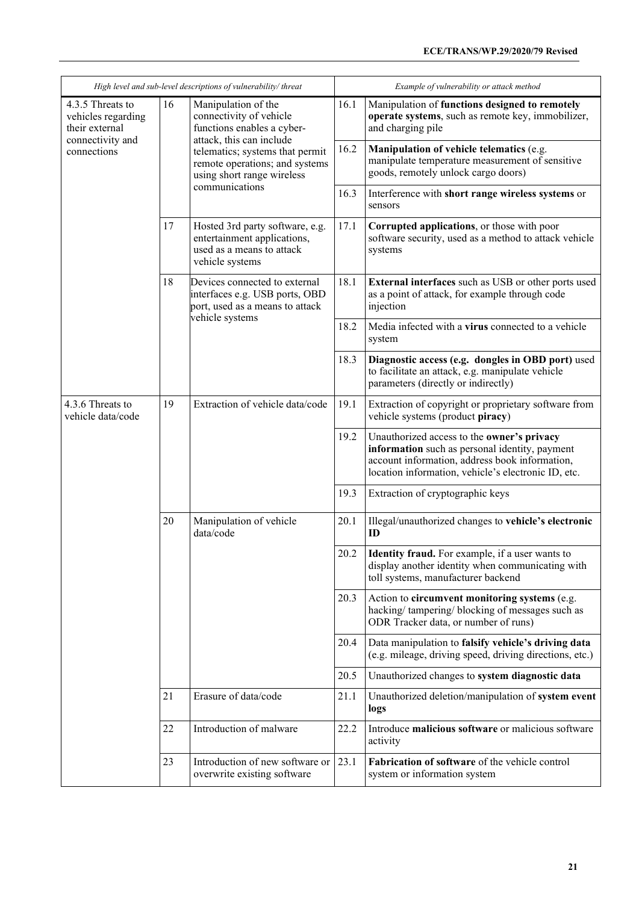| High level and sub-level descriptions of vulnerability/threat                |    |                                                                                                                                                                                                             | Example of vulnerability or attack method |                                                                                                                                                                                                       |  |
|------------------------------------------------------------------------------|----|-------------------------------------------------------------------------------------------------------------------------------------------------------------------------------------------------------------|-------------------------------------------|-------------------------------------------------------------------------------------------------------------------------------------------------------------------------------------------------------|--|
| 4.3.5 Threats to<br>vehicles regarding<br>their external<br>connectivity and | 16 | Manipulation of the<br>connectivity of vehicle<br>functions enables a cyber-<br>attack, this can include<br>telematics; systems that permit<br>remote operations; and systems<br>using short range wireless | 16.1                                      | Manipulation of functions designed to remotely<br>operate systems, such as remote key, immobilizer,<br>and charging pile                                                                              |  |
| connections                                                                  |    |                                                                                                                                                                                                             | 16.2                                      | Manipulation of vehicle telematics (e.g.<br>manipulate temperature measurement of sensitive<br>goods, remotely unlock cargo doors)                                                                    |  |
|                                                                              |    | communications                                                                                                                                                                                              | 16.3                                      | Interference with short range wireless systems or<br>sensors                                                                                                                                          |  |
|                                                                              | 17 | Hosted 3rd party software, e.g.<br>entertainment applications,<br>used as a means to attack<br>vehicle systems                                                                                              | 17.1                                      | Corrupted applications, or those with poor<br>software security, used as a method to attack vehicle<br>systems                                                                                        |  |
|                                                                              | 18 | Devices connected to external<br>interfaces e.g. USB ports, OBD<br>port, used as a means to attack<br>vehicle systems                                                                                       | 18.1                                      | <b>External interfaces</b> such as USB or other ports used<br>as a point of attack, for example through code<br>injection                                                                             |  |
|                                                                              |    |                                                                                                                                                                                                             | 18.2                                      | Media infected with a virus connected to a vehicle<br>system                                                                                                                                          |  |
|                                                                              |    |                                                                                                                                                                                                             | 18.3                                      | Diagnostic access (e.g. dongles in OBD port) used<br>to facilitate an attack, e.g. manipulate vehicle<br>parameters (directly or indirectly)                                                          |  |
| 4.3.6 Threats to<br>vehicle data/code                                        | 19 | Extraction of vehicle data/code                                                                                                                                                                             | 19.1                                      | Extraction of copyright or proprietary software from<br>vehicle systems (product piracy)                                                                                                              |  |
|                                                                              |    |                                                                                                                                                                                                             | 19.2                                      | Unauthorized access to the owner's privacy<br>information such as personal identity, payment<br>account information, address book information,<br>location information, vehicle's electronic ID, etc. |  |
|                                                                              |    |                                                                                                                                                                                                             | 19.3                                      | Extraction of cryptographic keys                                                                                                                                                                      |  |
|                                                                              | 20 | Manipulation of vehicle<br>data/code                                                                                                                                                                        | 20.1                                      | Illegal/unauthorized changes to vehicle's electronic<br>ID                                                                                                                                            |  |
|                                                                              |    |                                                                                                                                                                                                             | 20.2                                      | <b>Identity fraud.</b> For example, if a user wants to<br>display another identity when communicating with<br>toll systems, manufacturer backend                                                      |  |
|                                                                              |    |                                                                                                                                                                                                             | 20.3                                      | Action to circumvent monitoring systems (e.g.<br>hacking/tampering/blocking of messages such as<br>ODR Tracker data, or number of runs)                                                               |  |
|                                                                              |    |                                                                                                                                                                                                             | 20.4                                      | Data manipulation to falsify vehicle's driving data<br>(e.g. mileage, driving speed, driving directions, etc.)                                                                                        |  |
|                                                                              |    |                                                                                                                                                                                                             | 20.5                                      | Unauthorized changes to system diagnostic data                                                                                                                                                        |  |
|                                                                              | 21 | Erasure of data/code                                                                                                                                                                                        | 21.1                                      | Unauthorized deletion/manipulation of system event<br>logs                                                                                                                                            |  |
|                                                                              | 22 | Introduction of malware                                                                                                                                                                                     | 22.2                                      | Introduce malicious software or malicious software<br>activity                                                                                                                                        |  |
|                                                                              | 23 | Introduction of new software or<br>overwrite existing software                                                                                                                                              | 23.1                                      | Fabrication of software of the vehicle control<br>system or information system                                                                                                                        |  |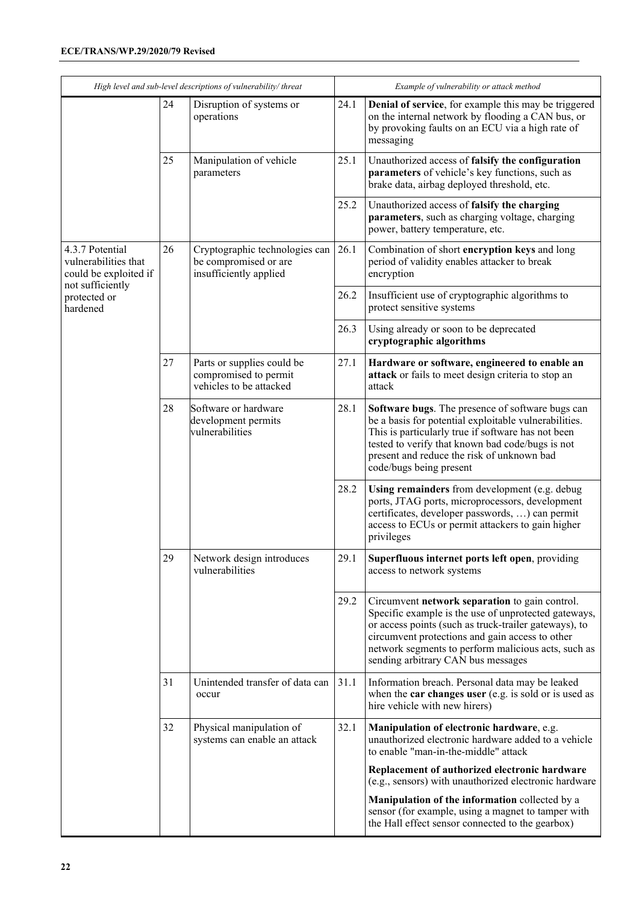| High level and sub-level descriptions of vulnerability/threat    |    |                                                                                   | Example of vulnerability or attack method |                                                                                                                                                                                                                                                                                                                 |
|------------------------------------------------------------------|----|-----------------------------------------------------------------------------------|-------------------------------------------|-----------------------------------------------------------------------------------------------------------------------------------------------------------------------------------------------------------------------------------------------------------------------------------------------------------------|
|                                                                  | 24 | Disruption of systems or<br>operations                                            | 24.1                                      | Denial of service, for example this may be triggered<br>on the internal network by flooding a CAN bus, or<br>by provoking faults on an ECU via a high rate of<br>messaging                                                                                                                                      |
|                                                                  | 25 | Manipulation of vehicle<br>parameters                                             | 25.1                                      | Unauthorized access of falsify the configuration<br>parameters of vehicle's key functions, such as<br>brake data, airbag deployed threshold, etc.                                                                                                                                                               |
|                                                                  |    |                                                                                   | 25.2                                      | Unauthorized access of falsify the charging<br>parameters, such as charging voltage, charging<br>power, battery temperature, etc.                                                                                                                                                                               |
| 4.3.7 Potential<br>vulnerabilities that<br>could be exploited if | 26 | Cryptographic technologies can<br>be compromised or are<br>insufficiently applied | 26.1                                      | Combination of short encryption keys and long<br>period of validity enables attacker to break<br>encryption                                                                                                                                                                                                     |
| not sufficiently<br>protected or<br>hardened                     |    |                                                                                   | 26.2                                      | Insufficient use of cryptographic algorithms to<br>protect sensitive systems                                                                                                                                                                                                                                    |
|                                                                  |    |                                                                                   | 26.3                                      | Using already or soon to be deprecated<br>cryptographic algorithms                                                                                                                                                                                                                                              |
|                                                                  | 27 | Parts or supplies could be<br>compromised to permit<br>vehicles to be attacked    | 27.1                                      | Hardware or software, engineered to enable an<br>attack or fails to meet design criteria to stop an<br>attack                                                                                                                                                                                                   |
|                                                                  | 28 | Software or hardware<br>development permits<br>vulnerabilities                    | 28.1                                      | Software bugs. The presence of software bugs can<br>be a basis for potential exploitable vulnerabilities.<br>This is particularly true if software has not been<br>tested to verify that known bad code/bugs is not<br>present and reduce the risk of unknown bad<br>code/bugs being present                    |
|                                                                  |    |                                                                                   | 28.2                                      | Using remainders from development (e.g. debug<br>ports, JTAG ports, microprocessors, development<br>certificates, developer passwords, ) can permit<br>access to ECUs or permit attackers to gain higher<br>privileges                                                                                          |
|                                                                  | 29 | Network design introduces<br>vulnerabilities                                      | 29.1                                      | Superfluous internet ports left open, providing<br>access to network systems                                                                                                                                                                                                                                    |
|                                                                  |    |                                                                                   | 29.2                                      | Circumvent network separation to gain control.<br>Specific example is the use of unprotected gateways,<br>or access points (such as truck-trailer gateways), to<br>circumvent protections and gain access to other<br>network segments to perform malicious acts, such as<br>sending arbitrary CAN bus messages |
|                                                                  | 31 | Unintended transfer of data can<br>occur                                          | 31.1                                      | Information breach. Personal data may be leaked<br>when the car changes user (e.g. is sold or is used as<br>hire vehicle with new hirers)                                                                                                                                                                       |
|                                                                  | 32 | Physical manipulation of<br>systems can enable an attack                          | 32.1                                      | Manipulation of electronic hardware, e.g.<br>unauthorized electronic hardware added to a vehicle<br>to enable "man-in-the-middle" attack                                                                                                                                                                        |
|                                                                  |    |                                                                                   |                                           | Replacement of authorized electronic hardware<br>(e.g., sensors) with unauthorized electronic hardware                                                                                                                                                                                                          |
|                                                                  |    |                                                                                   |                                           | Manipulation of the information collected by a<br>sensor (for example, using a magnet to tamper with<br>the Hall effect sensor connected to the gearbox)                                                                                                                                                        |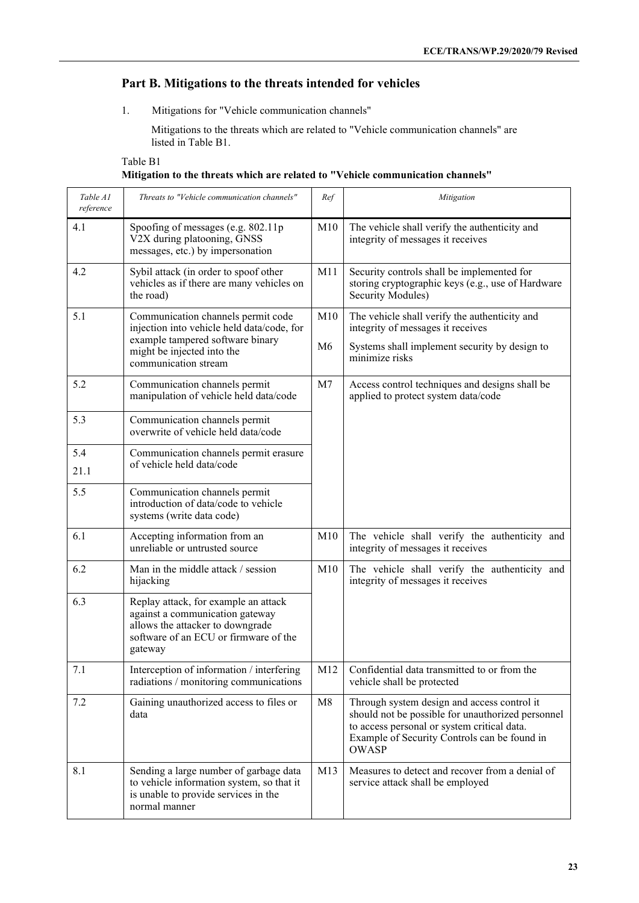## **Part B. Mitigations to the threats intended for vehicles**

1. Mitigations for "Vehicle communication channels"

Mitigations to the threats which are related to "Vehicle communication channels" are listed in Table B1.

| Table B1                                                                        |  |
|---------------------------------------------------------------------------------|--|
| Mitigation to the threats which are related to "Vehicle communication channels" |  |

| Table A1<br>reference | Threats to "Vehicle communication channels"                                                                                                                     | Ref             | Mitigation                                                                                                                                                                                                      |
|-----------------------|-----------------------------------------------------------------------------------------------------------------------------------------------------------------|-----------------|-----------------------------------------------------------------------------------------------------------------------------------------------------------------------------------------------------------------|
| 4.1                   | Spoofing of messages (e.g. 802.11p)<br>V2X during platooning, GNSS<br>messages, etc.) by impersonation                                                          | M10             | The vehicle shall verify the authenticity and<br>integrity of messages it receives                                                                                                                              |
| 4.2                   | Sybil attack (in order to spoof other<br>vehicles as if there are many vehicles on<br>the road)                                                                 | M11             | Security controls shall be implemented for<br>storing cryptographic keys (e.g., use of Hardware<br>Security Modules)                                                                                            |
| 5.1                   | Communication channels permit code<br>injection into vehicle held data/code, for                                                                                | M10             | The vehicle shall verify the authenticity and<br>integrity of messages it receives                                                                                                                              |
|                       | example tampered software binary<br>might be injected into the<br>communication stream                                                                          | M <sub>6</sub>  | Systems shall implement security by design to<br>minimize risks                                                                                                                                                 |
| 5.2                   | Communication channels permit<br>manipulation of vehicle held data/code                                                                                         | M <sub>7</sub>  | Access control techniques and designs shall be<br>applied to protect system data/code                                                                                                                           |
| 5.3                   | Communication channels permit<br>overwrite of vehicle held data/code                                                                                            |                 |                                                                                                                                                                                                                 |
| 5.4<br>21.1           | Communication channels permit erasure<br>of vehicle held data/code                                                                                              |                 |                                                                                                                                                                                                                 |
| 5.5                   | Communication channels permit<br>introduction of data/code to vehicle<br>systems (write data code)                                                              |                 |                                                                                                                                                                                                                 |
| 6.1                   | Accepting information from an<br>unreliable or untrusted source                                                                                                 | M10             | The vehicle shall verify the authenticity and<br>integrity of messages it receives                                                                                                                              |
| 6.2                   | Man in the middle attack / session<br>hijacking                                                                                                                 | M10             | The vehicle shall verify the authenticity and<br>integrity of messages it receives                                                                                                                              |
| 6.3                   | Replay attack, for example an attack<br>against a communication gateway<br>allows the attacker to downgrade<br>software of an ECU or firmware of the<br>gateway |                 |                                                                                                                                                                                                                 |
| 7.1                   | Interception of information / interfering<br>radiations / monitoring communications                                                                             | M <sub>12</sub> | Confidential data transmitted to or from the<br>vehicle shall be protected                                                                                                                                      |
| 7.2                   | Gaining unauthorized access to files or<br>data                                                                                                                 | M8              | Through system design and access control it<br>should not be possible for unauthorized personnel<br>to access personal or system critical data.<br>Example of Security Controls can be found in<br><b>OWASP</b> |
| 8.1                   | Sending a large number of garbage data<br>to vehicle information system, so that it<br>is unable to provide services in the<br>normal manner                    | M13             | Measures to detect and recover from a denial of<br>service attack shall be employed                                                                                                                             |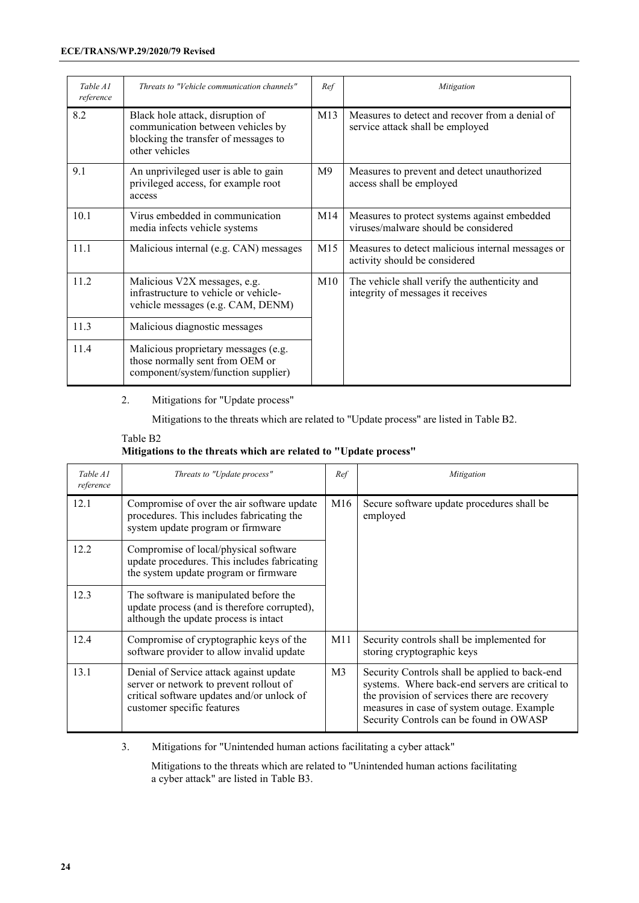| Table A1<br>reference | Threats to "Vehicle communication channels"                                                                                     | Ref             | Mitigation                                                                           |
|-----------------------|---------------------------------------------------------------------------------------------------------------------------------|-----------------|--------------------------------------------------------------------------------------|
| 8.2                   | Black hole attack, disruption of<br>communication between vehicles by<br>blocking the transfer of messages to<br>other vehicles | M13             | Measures to detect and recover from a denial of<br>service attack shall be employed  |
| 9.1                   | An unprivileged user is able to gain<br>privileged access, for example root<br>access                                           | M <sup>9</sup>  | Measures to prevent and detect unauthorized<br>access shall be employed              |
| 10.1                  | Virus embedded in communication<br>media infects vehicle systems                                                                | M14             | Measures to protect systems against embedded<br>viruses/malware should be considered |
| 11.1                  | Malicious internal (e.g. CAN) messages                                                                                          | M <sub>15</sub> | Measures to detect malicious internal messages or<br>activity should be considered   |
| 11.2                  | Malicious V2X messages, e.g.<br>infrastructure to vehicle or vehicle-<br>vehicle messages (e.g. CAM, DENM)                      | M10             | The vehicle shall verify the authenticity and<br>integrity of messages it receives   |
| 11.3                  | Malicious diagnostic messages                                                                                                   |                 |                                                                                      |
| 11.4                  | Malicious proprietary messages (e.g.<br>those normally sent from OEM or<br>component/system/function supplier)                  |                 |                                                                                      |

2. Mitigations for "Update process"

Mitigations to the threats which are related to "Update process" are listed in Table B2.

| Table B <sub>2</sub>                                             |  |
|------------------------------------------------------------------|--|
| Mitigations to the threats which are related to "Update process" |  |

| Table A1<br>reference | Threats to "Update process"                                                                                                                                    | Ref            | Mitigation                                                                                                                                                                                                                                 |                                                        |
|-----------------------|----------------------------------------------------------------------------------------------------------------------------------------------------------------|----------------|--------------------------------------------------------------------------------------------------------------------------------------------------------------------------------------------------------------------------------------------|--------------------------------------------------------|
| 12.1                  | Compromise of over the air software update<br>procedures. This includes fabricating the<br>system update program or firmware                                   | M16            |                                                                                                                                                                                                                                            | Secure software update procedures shall be<br>employed |
| 12.2                  | Compromise of local/physical software<br>update procedures. This includes fabricating<br>the system update program or firmware                                 |                |                                                                                                                                                                                                                                            |                                                        |
| 12.3                  | The software is manipulated before the<br>update process (and is therefore corrupted),<br>although the update process is intact                                |                |                                                                                                                                                                                                                                            |                                                        |
| 12.4                  | Compromise of cryptographic keys of the<br>software provider to allow invalid update                                                                           | M11            | Security controls shall be implemented for<br>storing cryptographic keys                                                                                                                                                                   |                                                        |
| 13.1                  | Denial of Service attack against update<br>server or network to prevent rollout of<br>critical software updates and/or unlock of<br>customer specific features | M <sub>3</sub> | Security Controls shall be applied to back-end<br>systems. Where back-end servers are critical to<br>the provision of services there are recovery<br>measures in case of system outage. Example<br>Security Controls can be found in OWASP |                                                        |

3. Mitigations for "Unintended human actions facilitating a cyber attack"

Mitigations to the threats which are related to "Unintended human actions facilitating a cyber attack" are listed in Table B3.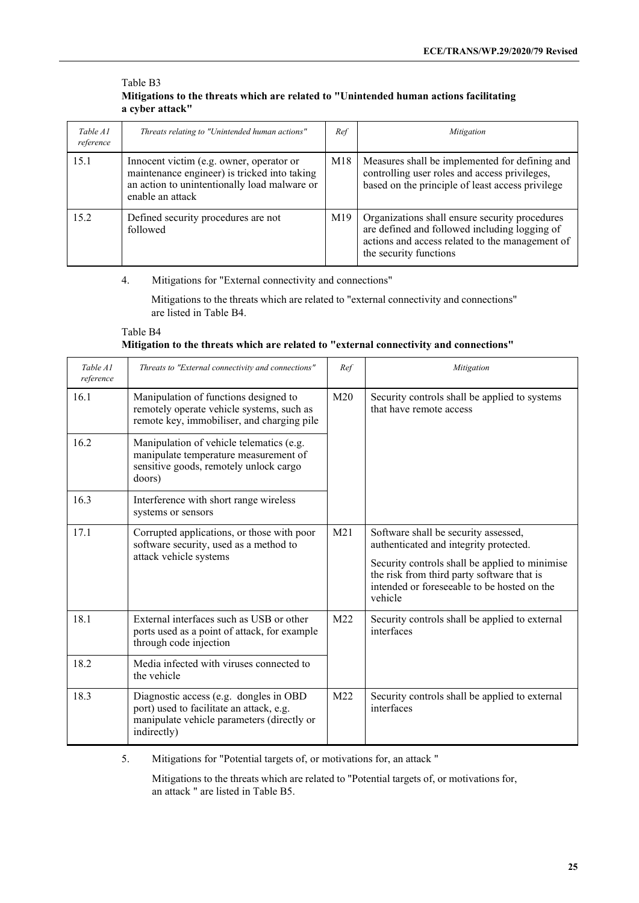#### Table B3 **Mitigations to the threats which are related to "Unintended human actions facilitating a cyber attack"**

| Table A1<br>reference | Threats relating to "Unintended human actions"                                                                                                               | Ref | Mitigation                                                                                                                                                                   |
|-----------------------|--------------------------------------------------------------------------------------------------------------------------------------------------------------|-----|------------------------------------------------------------------------------------------------------------------------------------------------------------------------------|
| 15.1                  | Innocent victim (e.g. owner, operator or<br>maintenance engineer) is tricked into taking<br>an action to unintentionally load malware or<br>enable an attack | M18 | Measures shall be implemented for defining and<br>controlling user roles and access privileges,<br>based on the principle of least access privilege                          |
| 15.2                  | Defined security procedures are not<br>followed                                                                                                              | M19 | Organizations shall ensure security procedures<br>are defined and followed including logging of<br>actions and access related to the management of<br>the security functions |

#### 4. Mitigations for "External connectivity and connections"

Mitigations to the threats which are related to "external connectivity and connections" are listed in Table B4.

#### Table B4 **Mitigation to the threats which are related to "external connectivity and connections"**

| Table A1<br>reference | Threats to "External connectivity and connections"                                                                                              | Ref             | Mitigation                                                                                                                                                                                                                               |  |                                                                          |
|-----------------------|-------------------------------------------------------------------------------------------------------------------------------------------------|-----------------|------------------------------------------------------------------------------------------------------------------------------------------------------------------------------------------------------------------------------------------|--|--------------------------------------------------------------------------|
| 16.1                  | Manipulation of functions designed to<br>remotely operate vehicle systems, such as<br>remote key, immobiliser, and charging pile                | M <sub>20</sub> |                                                                                                                                                                                                                                          |  | Security controls shall be applied to systems<br>that have remote access |
| 16.2                  | Manipulation of vehicle telematics (e.g.<br>manipulate temperature measurement of<br>sensitive goods, remotely unlock cargo<br>doors)           |                 |                                                                                                                                                                                                                                          |  |                                                                          |
| 16.3                  | Interference with short range wireless<br>systems or sensors                                                                                    |                 |                                                                                                                                                                                                                                          |  |                                                                          |
| 17.1                  | Corrupted applications, or those with poor<br>software security, used as a method to<br>attack vehicle systems                                  | M21             | Software shall be security assessed,<br>authenticated and integrity protected.<br>Security controls shall be applied to minimise<br>the risk from third party software that is<br>intended or foreseeable to be hosted on the<br>vehicle |  |                                                                          |
| 18.1                  | External interfaces such as USB or other<br>ports used as a point of attack, for example<br>through code injection                              | M22             | Security controls shall be applied to external<br>interfaces                                                                                                                                                                             |  |                                                                          |
| 18.2                  | Media infected with viruses connected to<br>the vehicle                                                                                         |                 |                                                                                                                                                                                                                                          |  |                                                                          |
| 18.3                  | Diagnostic access (e.g. dongles in OBD<br>port) used to facilitate an attack, e.g.<br>manipulate vehicle parameters (directly or<br>indirectly) | M <sub>22</sub> | Security controls shall be applied to external<br>interfaces                                                                                                                                                                             |  |                                                                          |

5. Mitigations for "Potential targets of, or motivations for, an attack "

Mitigations to the threats which are related to "Potential targets of, or motivations for, an attack " are listed in Table B5.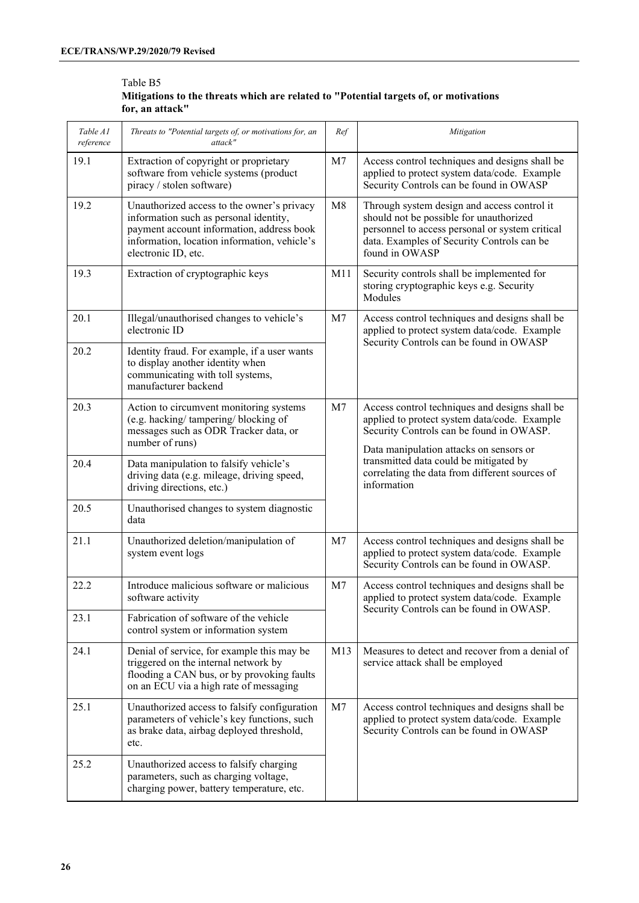#### Table B5 **Mitigations to the threats which are related to "Potential targets of, or motivations for, an attack"**

| Table A1<br>reference | Threats to "Potential targets of, or motivations for, an<br>attack"                                                                                                                                      | Ref            | Mitigation                                                                                                                                                                                                |
|-----------------------|----------------------------------------------------------------------------------------------------------------------------------------------------------------------------------------------------------|----------------|-----------------------------------------------------------------------------------------------------------------------------------------------------------------------------------------------------------|
| 19.1                  | Extraction of copyright or proprietary<br>software from vehicle systems (product<br>piracy / stolen software)                                                                                            | M7             | Access control techniques and designs shall be<br>applied to protect system data/code. Example<br>Security Controls can be found in OWASP                                                                 |
| 19.2                  | Unauthorized access to the owner's privacy<br>information such as personal identity,<br>payment account information, address book<br>information, location information, vehicle's<br>electronic ID, etc. | M8             | Through system design and access control it<br>should not be possible for unauthorized<br>personnel to access personal or system critical<br>data. Examples of Security Controls can be<br>found in OWASP |
| 19.3                  | Extraction of cryptographic keys                                                                                                                                                                         | M11            | Security controls shall be implemented for<br>storing cryptographic keys e.g. Security<br>Modules                                                                                                         |
| 20.1                  | Illegal/unauthorised changes to vehicle's<br>electronic ID                                                                                                                                               | M <sub>7</sub> | Access control techniques and designs shall be<br>applied to protect system data/code. Example                                                                                                            |
| 20.2                  | Identity fraud. For example, if a user wants<br>to display another identity when<br>communicating with toll systems,<br>manufacturer backend                                                             |                | Security Controls can be found in OWASP                                                                                                                                                                   |
| 20.3                  | Action to circumvent monitoring systems<br>(e.g. hacking/tampering/blocking of<br>messages such as ODR Tracker data, or<br>number of runs)                                                               | M <sub>7</sub> | Access control techniques and designs shall be<br>applied to protect system data/code. Example<br>Security Controls can be found in OWASP.<br>Data manipulation attacks on sensors or                     |
| 20.4                  | Data manipulation to falsify vehicle's<br>driving data (e.g. mileage, driving speed,<br>driving directions, etc.)                                                                                        |                | transmitted data could be mitigated by<br>correlating the data from different sources of<br>information                                                                                                   |
| 20.5                  | Unauthorised changes to system diagnostic<br>data                                                                                                                                                        |                |                                                                                                                                                                                                           |
| 21.1                  | Unauthorized deletion/manipulation of<br>system event logs                                                                                                                                               | M7             | Access control techniques and designs shall be<br>applied to protect system data/code. Example<br>Security Controls can be found in OWASP.                                                                |
| 22.2                  | Introduce malicious software or malicious<br>software activity                                                                                                                                           | M7             | Access control techniques and designs shall be<br>applied to protect system data/code. Example                                                                                                            |
| 23.1                  | Fabrication of software of the vehicle<br>control system or information system                                                                                                                           |                | Security Controls can be found in OWASP.                                                                                                                                                                  |
| 24.1                  | Denial of service, for example this may be<br>triggered on the internal network by<br>flooding a CAN bus, or by provoking faults<br>on an ECU via a high rate of messaging                               | M13            | Measures to detect and recover from a denial of<br>service attack shall be employed                                                                                                                       |
| 25.1                  | Unauthorized access to falsify configuration<br>parameters of vehicle's key functions, such<br>as brake data, airbag deployed threshold,<br>etc.                                                         | M7             | Access control techniques and designs shall be<br>applied to protect system data/code. Example<br>Security Controls can be found in OWASP                                                                 |
| 25.2                  | Unauthorized access to falsify charging<br>parameters, such as charging voltage,<br>charging power, battery temperature, etc.                                                                            |                |                                                                                                                                                                                                           |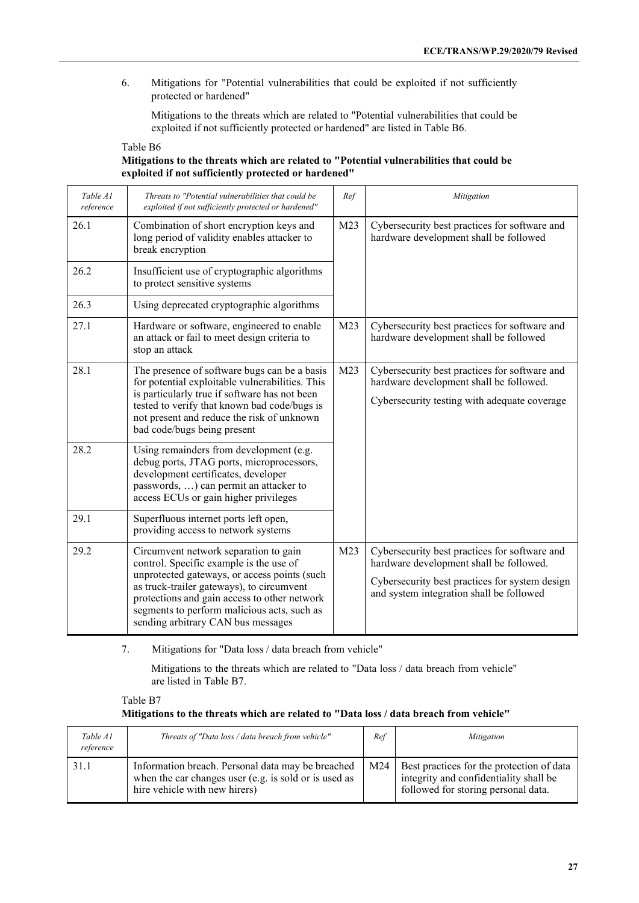6. Mitigations for "Potential vulnerabilities that could be exploited if not sufficiently protected or hardened"

Mitigations to the threats which are related to "Potential vulnerabilities that could be exploited if not sufficiently protected or hardened" are listed in Table B6.

| Table B6                                                                                 |
|------------------------------------------------------------------------------------------|
| Mitigations to the threats which are related to "Potential vulnerabilities that could be |
| exploited if not sufficiently protected or hardened"                                     |

| Table A1<br>reference | Threats to "Potential vulnerabilities that could be<br>exploited if not sufficiently protected or hardened"                                                                                                                                                                                                        | Ref             | Mitigation                                                                                                                                                                             |  |                                                                                         |
|-----------------------|--------------------------------------------------------------------------------------------------------------------------------------------------------------------------------------------------------------------------------------------------------------------------------------------------------------------|-----------------|----------------------------------------------------------------------------------------------------------------------------------------------------------------------------------------|--|-----------------------------------------------------------------------------------------|
| 26.1                  | Combination of short encryption keys and<br>long period of validity enables attacker to<br>break encryption                                                                                                                                                                                                        | M23             |                                                                                                                                                                                        |  | Cybersecurity best practices for software and<br>hardware development shall be followed |
| 26.2                  | Insufficient use of cryptographic algorithms<br>to protect sensitive systems                                                                                                                                                                                                                                       |                 |                                                                                                                                                                                        |  |                                                                                         |
| 26.3                  | Using deprecated cryptographic algorithms                                                                                                                                                                                                                                                                          |                 |                                                                                                                                                                                        |  |                                                                                         |
| 27.1                  | Hardware or software, engineered to enable<br>an attack or fail to meet design criteria to<br>stop an attack                                                                                                                                                                                                       | M <sub>23</sub> | Cybersecurity best practices for software and<br>hardware development shall be followed                                                                                                |  |                                                                                         |
| 28.1                  | The presence of software bugs can be a basis<br>for potential exploitable vulnerabilities. This<br>is particularly true if software has not been<br>tested to verify that known bad code/bugs is<br>not present and reduce the risk of unknown<br>bad code/bugs being present                                      | M23             | Cybersecurity best practices for software and<br>hardware development shall be followed.<br>Cybersecurity testing with adequate coverage                                               |  |                                                                                         |
| 28.2                  | Using remainders from development (e.g.<br>debug ports, JTAG ports, microprocessors,<br>development certificates, developer<br>passwords, ) can permit an attacker to<br>access ECUs or gain higher privileges                                                                                                     |                 |                                                                                                                                                                                        |  |                                                                                         |
| 29.1                  | Superfluous internet ports left open,<br>providing access to network systems                                                                                                                                                                                                                                       |                 |                                                                                                                                                                                        |  |                                                                                         |
| 29.2                  | Circumvent network separation to gain<br>control. Specific example is the use of<br>unprotected gateways, or access points (such<br>as truck-trailer gateways), to circumvent<br>protections and gain access to other network<br>segments to perform malicious acts, such as<br>sending arbitrary CAN bus messages | M <sub>23</sub> | Cybersecurity best practices for software and<br>hardware development shall be followed.<br>Cybersecurity best practices for system design<br>and system integration shall be followed |  |                                                                                         |

7. Mitigations for "Data loss / data breach from vehicle"

Mitigations to the threats which are related to "Data loss / data breach from vehicle" are listed in Table B7.

Table B7 **Mitigations to the threats which are related to "Data loss / data breach from vehicle"**

| Table A1<br>reference | Threats of "Data loss / data breach from vehicle"                                                                                           | Ref | Mitigation                                                                                                                 |
|-----------------------|---------------------------------------------------------------------------------------------------------------------------------------------|-----|----------------------------------------------------------------------------------------------------------------------------|
| 31.1                  | Information breach. Personal data may be breached<br>when the car changes user (e.g. is sold or is used as<br>hire vehicle with new hirers) | M24 | Best practices for the protection of data<br>integrity and confidentiality shall be<br>followed for storing personal data. |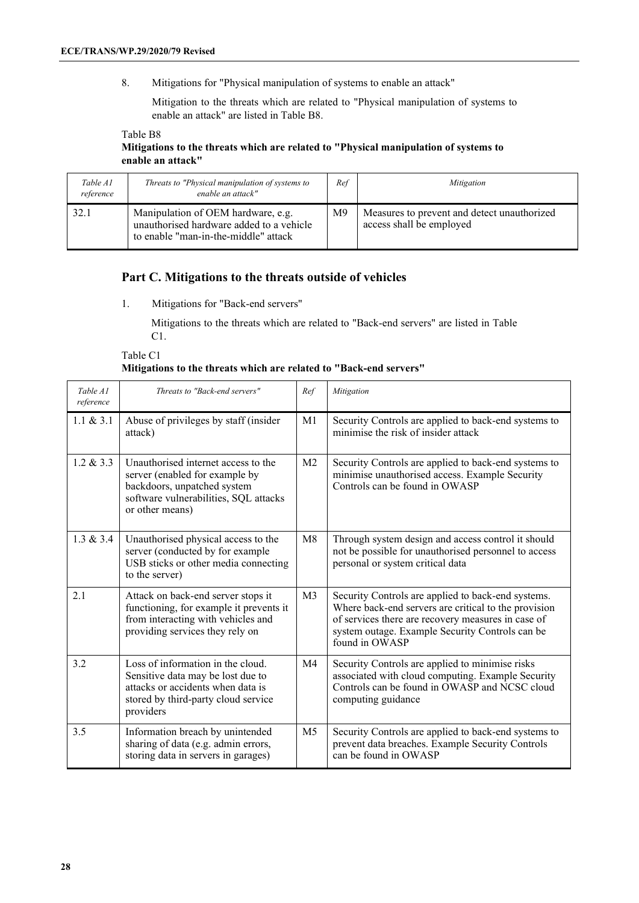8. Mitigations for "Physical manipulation of systems to enable an attack"

Mitigation to the threats which are related to "Physical manipulation of systems to enable an attack" are listed in Table B8.

Table B8 **Mitigations to the threats which are related to "Physical manipulation of systems to enable an attack"**

| Table A1<br>reference | Threats to "Physical manipulation of systems to<br>enable an attack"                                                   | Ref            | Mitigation                                                              |
|-----------------------|------------------------------------------------------------------------------------------------------------------------|----------------|-------------------------------------------------------------------------|
| 32.1                  | Manipulation of OEM hardware, e.g.<br>unauthorised hardware added to a vehicle<br>to enable "man-in-the-middle" attack | M <sup>9</sup> | Measures to prevent and detect unauthorized<br>access shall be employed |

#### **Part C. Mitigations to the threats outside of vehicles**

1. Mitigations for "Back-end servers"

Mitigations to the threats which are related to "Back-end servers" are listed in Table C1.

Table C1 **Mitigations to the threats which are related to "Back-end servers"**

| Table A1<br>reference | Threats to "Back-end servers"                                                                                                                                    | Ref            | Mitigation                                                                                                                                                                                                                            |
|-----------------------|------------------------------------------------------------------------------------------------------------------------------------------------------------------|----------------|---------------------------------------------------------------------------------------------------------------------------------------------------------------------------------------------------------------------------------------|
| 1.1 & 2.3.1           | Abuse of privileges by staff (insider<br>attack)                                                                                                                 | M <sub>1</sub> | Security Controls are applied to back-end systems to<br>minimise the risk of insider attack                                                                                                                                           |
| $1.2 \& 3.3$          | Unauthorised internet access to the<br>server (enabled for example by<br>backdoors, unpatched system<br>software vulnerabilities, SQL attacks<br>or other means) | M <sub>2</sub> | Security Controls are applied to back-end systems to<br>minimise unauthorised access. Example Security<br>Controls can be found in OWASP                                                                                              |
| 1.3 & 3.4             | Unauthorised physical access to the<br>server (conducted by for example<br>USB sticks or other media connecting<br>to the server)                                | M8             | Through system design and access control it should<br>not be possible for unauthorised personnel to access<br>personal or system critical data                                                                                        |
| 2.1                   | Attack on back-end server stops it<br>functioning, for example it prevents it<br>from interacting with vehicles and<br>providing services they rely on           | M <sub>3</sub> | Security Controls are applied to back-end systems.<br>Where back-end servers are critical to the provision<br>of services there are recovery measures in case of<br>system outage. Example Security Controls can be<br>found in OWASP |
| 3.2                   | Loss of information in the cloud.<br>Sensitive data may be lost due to<br>attacks or accidents when data is<br>stored by third-party cloud service<br>providers  | M <sub>4</sub> | Security Controls are applied to minimise risks<br>associated with cloud computing. Example Security<br>Controls can be found in OWASP and NCSC cloud<br>computing guidance                                                           |
| 3.5                   | Information breach by unintended<br>sharing of data (e.g. admin errors,<br>storing data in servers in garages)                                                   | M <sub>5</sub> | Security Controls are applied to back-end systems to<br>prevent data breaches. Example Security Controls<br>can be found in OWASP                                                                                                     |